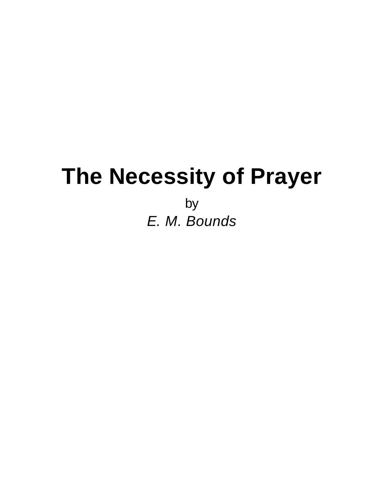# **The Necessity of Prayer**

by *E. M. Bounds*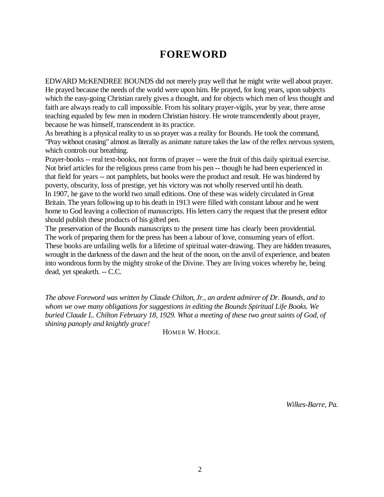### **FOREWORD**

EDWARD McKENDREE BOUNDS did not merely pray well that he might write well about prayer. He prayed because the needs of the world were upon him. He prayed, for long years, upon subjects which the easy-going Christian rarely gives a thought, and for objects which men of less thought and faith are always ready to call impossible. From his solitary prayer-vigils, year by year, there arose teaching equaled by few men in modern Christian history. He wrote transcendently about prayer, because he was himself, transcendent in its practice.

As breathing is a physical reality to us so prayer was a reality for Bounds. He took the command, "Pray without ceasing" almost as literally as animate nature takes the law of the reflex nervous system, which controls our breathing.

Prayer-books -- real text-books, not forms of prayer -- were the fruit of this daily spiritual exercise. Not brief articles for the religious press came from his pen -- though he had been experienced in that field for years -- not pamphlets, but books were the product and result. He was hindered by poverty, obscurity, loss of prestige, yet his victory was not wholly reserved until his death. In 1907, he gave to the world two small editions. One of these was widely circulated in Great Britain. The years following up to his death in 1913 were filled with constant labour and he went home to God leaving a collection of manuscripts. His letters carry the request that the present editor should publish these products of his gifted pen.

The preservation of the Bounds manuscripts to the present time has clearly been providential. The work of preparing them for the press has been a labour of love, consuming years of effort. These books are unfailing wells for a lifetime of spiritual water-drawing. They are hidden treasures, wrought in the darkness of the dawn and the heat of the noon, on the anvil of experience, and beaten into wondrous form by the mighty stroke of the Divine. They are living voices whereby he, being dead, yet speaketh. -- C.C.

*The above Foreword was written by Claude Chilton, Jr., an ardent admirer of Dr. Bounds, and to whom we owe many obligations for suggestions in editing the Bounds Spiritual Life Books. We buried Claude L. Chilton February 18, 1929. What a meeting of these two great saints of God, of shining panoply and knightly grace!*

HOMER W. HODGE.

*Wilkes-Barre, Pa.*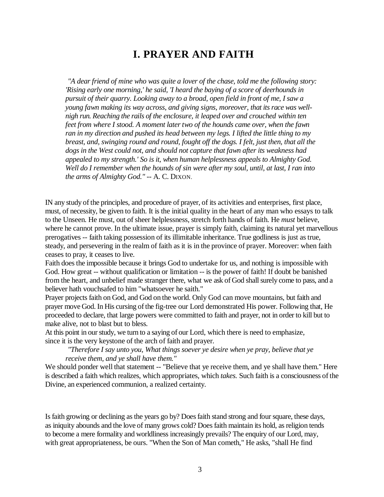# **I. PRAYER AND FAITH**

*"A dear friend of mine who was quite a lover of the chase, told me the following story: 'Rising early one morning,' he said, 'I heard the baying of a score of deerhounds in pursuit of their quarry. Looking away to a broad, open field in front of me, I saw a young fawn making its way across, and giving signs, moreover, that its race was wellnigh run. Reaching the rails of the enclosure, it leaped over and crouched within ten feet from where I stood. A moment later two of the hounds came over, when the fawn ran in my direction and pushed its head between my legs. I lifted the little thing to my breast, and, swinging round and round, fought off the dogs. I felt, just then, that all the dogs in the West could not, and should not capture that fawn after its weakness had appealed to my strength.' So is it, when human helplessness appeals to Almighty God. Well do I remember when the hounds of sin were after my soul, until, at last, I ran into the arms of Almighty God." --* A. C. DIXON.

IN any study of the principles, and procedure of prayer, of its activities and enterprises, first place, must, of necessity, be given to faith. It is the initial quality in the heart of any man who essays to talk to the Unseen. He must, out of sheer helplessness, stretch forth hands of faith. He *must* believe, where he cannot prove. In the ultimate issue, prayer is simply faith, claiming its natural yet marvellous prerogatives -- faith taking possession of its illimitable inheritance. True godliness is just as true, steady, and persevering in the realm of faith as it is in the province of prayer. Moreover: when faith ceases to pray, it ceases to live.

Faith does the impossible because it brings God to undertake for us, and nothing is impossible with God. How great -- without qualification or limitation -- is the power of faith! If doubt be banished from the heart, and unbelief made stranger there, what we ask of God shall surely come to pass, and a believer hath vouchsafed to him "whatsoever he saith."

Prayer projects faith on God, and God on the world. Only God can move mountains, but faith and prayer move God. In His cursing of the fig-tree our Lord demonstrated His power. Following that, He proceeded to declare, that large powers were committed to faith and prayer, not in order to kill but to make alive, not to blast but to bless.

At this point in our study, we turn to a saying of our Lord, which there is need to emphasize, since it is the very keystone of the arch of faith and prayer.

*"Therefore I say unto you, What things soever ye desire when ye pray, believe that ye receive them, and ye shall have them."*

We should ponder well that statement -- "Believe that ye receive them, and ye shall have them." Here is described a faith which realizes, which appropriates, which *takes.* Such faith is a consciousness of the Divine, an experienced communion, a realized certainty.

Is faith growing or declining as the years go by? Does faith stand strong and four square, these days, as iniquity abounds and the love of many grows cold? Does faith maintain its hold, as religion tends to become a mere formality and worldliness increasingly prevails? The enquiry of our Lord, may, with great appropriateness, be ours. "When the Son of Man cometh," He asks, "shall He find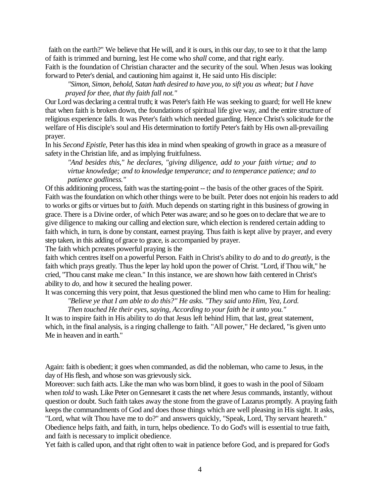faith on the earth?" We believe that He will, and it is ours, in this our day, to see to it that the lamp of faith is trimmed and burning, lest He come who *shall* come, and that right early.

Faith is the foundation of Christian character and the security of the soul. When Jesus was looking forward to Peter's denial, and cautioning him against it, He said unto His disciple:

*"Simon, Simon, behold, Satan hath desired to have you, to sift you as wheat; but I have prayed for thee, that thy faith fall not."*

Our Lord was declaring a central truth; it was Peter's faith He was seeking to guard; for well He knew that when faith is broken down, the foundations of spiritual life give way, and the entire structure of religious experience falls. It was Peter's faith which needed guarding. Hence Christ's solicitude for the welfare of His disciple's soul and His determination to fortify Peter's faith by His own all-prevailing prayer.

In his *Second Epistle,* Peter has this idea in mind when speaking of growth in grace as a measure of safety in the Christian life, and as implying fruitfulness.

*"And besides this," he declares, "giving diligence, add to your faith virtue; and to virtue knowledge; and to knowledge temperance; and to temperance patience; and to patience godliness."*

Of this additioning process, faith was the starting-point -- the basis of the other graces of the Spirit. Faith was the foundation on which other things were to be built. Peter does not enjoin his readers to add to works or gifts or virtues but to *faith.* Much depends on starting right in this business of growing in grace. There is a Divine order, of which Peter was aware; and so he goes on to declare that we are to give diligence to making our calling and election sure, which election is rendered certain adding to faith which, in turn, is done by constant, earnest praying. Thus faith is kept alive by prayer, and every step taken, in this adding of grace to grace, is accompanied by prayer.

The faith which pcreates powerful praying is the

faith which centres itself on a powerful Person. Faith in Christ's ability to *do* and to *do greatly,* is the faith which prays greatly. Thus the leper lay hold upon the power of Christ. "Lord, if Thou wilt," he cried, "Thou canst make me clean." In this instance, we are shown how faith centered in Christ's ability to *do,* and how it secured the healing power.

It was concerning this very point, that Jesus questioned the blind men who came to Him for healing:

*"Believe ye that I am able to do this?" He asks. "They said unto Him, Yea, Lord.*

*Then touched He their eyes, saying, According to your faith be it unto you."*

It was to inspire faith in His ability to *do* that Jesus left behind Him, that last, great statement, which, in the final analysis, is a ringing challenge to faith. "All power," He declared, "is given unto Me in heaven and in earth."

Again: faith is obedient; it goes when commanded, as did the nobleman, who came to Jesus, in the day of His flesh, and whose son was grievously sick.

Moreover: such faith acts. Like the man who was born blind, it goes to wash in the pool of Siloam when *told* to wash. Like Peter on Gennesaret it casts the net where Jesus commands, instantly, without question or doubt. Such faith takes away the stone from the grave of Lazarus promptly. A praying faith keeps the commandments of God and does those things which are well pleasing in His sight. It asks, "Lord, what wilt Thou have me to do?" and answers quickly, "Speak, Lord, Thy servant heareth." Obedience helps faith, and faith, in turn, helps obedience. To do God's will is essential to true faith, and faith is necessary to implicit obedience.

Yet faith is called upon, and that right often to wait in patience before God, and is prepared for God's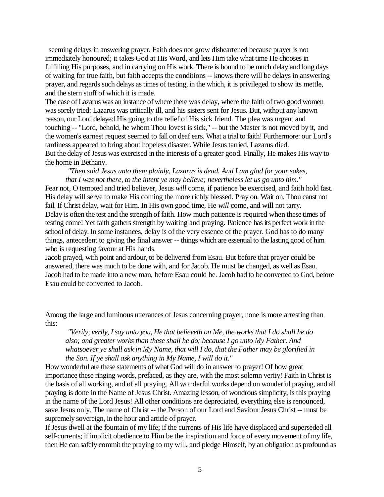seeming delays in answering prayer. Faith does not grow disheartened because prayer is not immediately honoured; it takes God at His Word, and lets Him take what time He chooses in fulfilling His purposes, and in carrying on His work. There is bound to be much delay and long days of waiting for true faith, but faith accepts the conditions -- knows there will be delays in answering prayer, and regards such delays as times of testing, in the which, it is privileged to show its mettle, and the stern stuff of which it is made.

The case of Lazarus was an instance of where there was delay, where the faith of two good women was sorely tried: Lazarus was critically ill, and his sisters sent for Jesus. But, without any known reason, our Lord delayed His going to the relief of His sick friend. The plea was urgent and touching -- "Lord, behold, he whom Thou lovest is sick," -- but the Master is not moved by it, and the women's earnest request seemed to fall on deaf ears. What a trial to faith! Furthermore: our Lord's tardiness appeared to bring about hopeless disaster. While Jesus tarried, Lazarus died. But the delay of Jesus was exercised in the interests of a greater good. Finally, He makes His way to the home in Bethany.

#### *"Then said Jesus unto them plainly, Lazarus is dead. And I am glad for your sakes, that I was not there, to the intent ye may believe; nevertheless let us go unto him."*

Fear not, O tempted and tried believer, Jesus *will* come, if patience be exercised, and faith hold fast. His delay will serve to make His coming the more richly blessed. Pray on. Wait on. Thou canst not fail. If Christ delay, wait for Him. In His own good time, He *will* come, and will not tarry. Delay is often the test and the strength of faith. How much patience is required when these times of testing come! Yet faith gathers strength by waiting and praying. Patience has its perfect work in the school of delay. In some instances, delay is of the very essence of the prayer. God has to do many things, antecedent to giving the final answer -- things which are essential to the lasting good of him who is requesting favour at His hands.

Jacob prayed, with point and ardour, to be delivered from Esau. But before that prayer could be answered, there was much to be done with, and for Jacob. He must be changed, as well as Esau. Jacob had to be made into a new man, before Esau could be. Jacob had to be converted to God, before Esau could be converted to Jacob.

Among the large and luminous utterances of Jesus concerning prayer, none is more arresting than this:

*"Verily, verily, I say unto you, He that believeth on Me, the works that I do shall he do also; and greater works than these shall he do; because I go unto My Father. And whatsoever ye shall ask in My Name, that will I do, that the Father may be glorified in the Son. If ye shall ask anything in My Name, I will do it."*

How wonderful are these statements of what God will do in answer to prayer! Of how great importance these ringing words, prefaced, as they are, with the most solemn verity! Faith in Christ is the basis of all working, and of all praying. All wonderful works depend on wonderful praying, and all praying is done in the Name of Jesus Christ. Amazing lesson, of wondrous simplicity, is this praying in the name of the Lord Jesus! All other conditions are depreciated, everything else is renounced, save Jesus only. The name of Christ -- the Person of our Lord and Saviour Jesus Christ -- must be supremely sovereign, in the hour and article of prayer.

If Jesus dwell at the fountain of my life; if the currents of His life have displaced and superseded all self-currents; if implicit obedience to Him be the inspiration and force of every movement of my life, then He can safely commit the praying to my will, and pledge Himself, by an obligation as profound as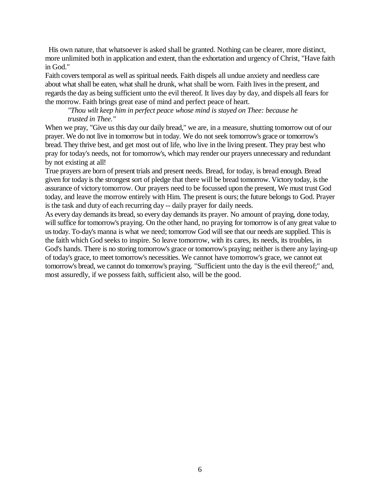His own nature, that whatsoever is asked shall be granted. Nothing can be clearer, more distinct, more unlimited both in application and extent, than the exhortation and urgency of Christ, "Have faith in God."

Faith covers temporal as well as spiritual needs. Faith dispels all undue anxiety and needless care about what shall be eaten, what shall he drunk, what shall be worn. Faith lives in the present, and regards the day as being sufficient unto the evil thereof. It lives day by day, and dispels all fears for the morrow. Faith brings great ease of mind and perfect peace of heart.

### *"Thou wilt keep him in perfect peace whose mind is stayed on Thee: because he trusted in Thee."*

When we pray, "Give us this day our daily bread," we are, in a measure, shutting tomorrow out of our prayer. We do not live in tomorrow but in today. We do not seek tomorrow's grace or tomorrow's bread. They thrive best, and get most out of life, who live in the living present. They pray best who pray for today's needs, not for tomorrow's, which may render our prayers unnecessary and redundant by not existing at all!

True prayers are born of present trials and present needs. Bread, for today, is bread enough. Bread given for today is the strongest sort of pledge that there will be bread tomorrow. Victory today, is the assurance of victory tomorrow. Our prayers need to be focussed upon the present, We must trust God today, and leave the morrow entirely with Him. The present is ours; the future belongs to God. Prayer is the task and duty of each recurring day -- daily prayer for daily needs.

As every day demands its bread, so every day demands its prayer. No amount of praying, done today, will suffice for tomorrow's praying. On the other hand, no praying for tomorrow is of any great value to us today. To-day's manna is what we need; tomorrow God will see that our needs are supplied. This is the faith which God seeks to inspire. So leave tomorrow, with its cares, its needs, its troubles, in God's hands. There is no storing tomorrow's grace or tomorrow's praying; neither is there any laying-up of today's grace, to meet tomorrow's necessities. We cannot have tomorrow's grace, we cannot eat tomorrow's bread, we cannot do tomorrow's praying. "Sufficient unto the day is the evil thereof;" and, most assuredly, if we possess faith, sufficient also, will be the good.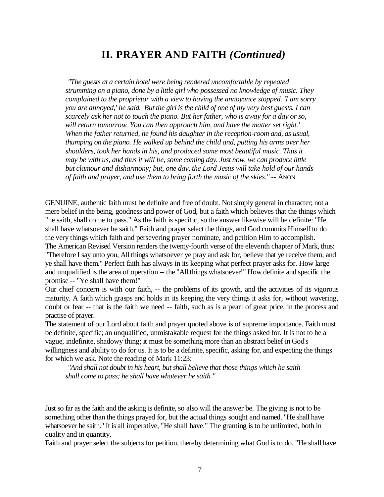### **II. PRAYER AND FAITH** *(Continued)*

*"The guests at a certain hotel were being rendered uncomfortable by repeated strumming on a piano, done by a little girl who possessed no knowledge of music. They complained to the proprietor with a view to having the annoyance stopped. 'I am sorry you are annoyed,' he said. 'But the girl is the child of one of my very best guests. I can scarcely ask her not to touch the piano. But her father, who is away for a day or so, will return tomorrow. You can then approach him, and have the matter set right.' When the father returned, he found his daughter in the reception-room and, as usual, thumping on the piano. He walked up behind the child and, putting his arms over her shoulders, took her hands in his, and produced some most beautiful music. Thus it may be with us, and thus it will be, some coming day. Just now, we can produce little but clamour and disharmony; but, one day, the Lord Jesus will take hold of our hands of faith and prayer, and use them to bring forth the music of the skies." --* ANON

GENUINE, authentic faith must be definite and free of doubt. Not simply general in character; not a mere belief in the being, goodness and power of God, but a faith which believes that the things which "he saith, shall come to pass." As the faith is specific, so the answer likewise will be definite: "He shall have whatsoever he saith." Faith and prayer select the things, and God commits Himself to do the very things which faith and persevering prayer nominate, and petition Him to accomplish. The American Revised Version renders the twenty-fourth verse of the eleventh chapter of Mark, thus: "Therefore I say unto you, All things whatsoever ye pray and ask for, believe that ye receive them, and ye shall have them." Perfect faith has always in its keeping what perfect prayer asks for. How large and unqualified is the area of operation -- the "All things whatsoever!" How definite and specific the promise -- "Ye shall have them!"

Our chief concern is with our faith, -- the problems of its growth, and the activities of its vigorous maturity. A faith which grasps and holds in its keeping the very things it asks for, without wavering, doubt or fear -- that is the faith we need -- faith, such as is a pearl of great price, in the process and practise of prayer.

The statement of our Lord about faith and prayer quoted above is of supreme importance. Faith must be definite, specific; an unqualified, unmistakable request for the things asked for. It is not to be a vague, indefinite, shadowy thing; it must be something more than an abstract belief in God's willingness and ability to do for us. It is to be a definite, specific, asking for, and expecting the things for which we ask. Note the reading of Mark 11:23:

*"And shall not doubt in his heart, but shall believe that those things which he saith shall come to pass; he shall have whatever he saith."*

Just so far as the faith and the asking is definite, so also will the answer be. The giving is not to be something other than the things prayed for, but the actual things sought and named. "He shall have whatsoever he saith." It is all imperative, "He shall have." The granting is to be unlimited, both in quality and in quantity.

Faith and prayer select the subjects for petition, thereby determining what God is to do. "He shall have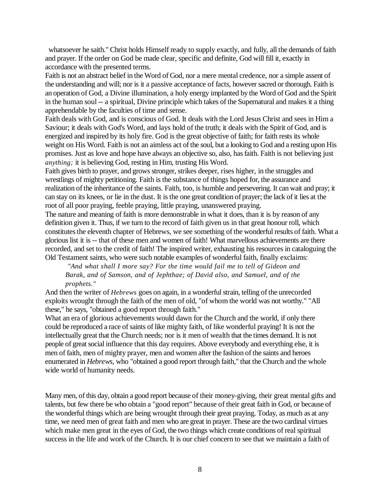whatsoever he saith." Christ holds Himself ready to supply exactly, and fully, all the demands of faith and prayer. If the order on God be made clear, specific and definite, God will fill it, exactly in accordance with the presented terms.

Faith is not an abstract belief in the Word of God, nor a mere mental credence, nor a simple assent of the understanding and will; nor is it a passive acceptance of facts, however sacred or thorough. Faith is an operation of God, a Divine illumination, a holy energy implanted by the Word of God and the Spirit in the human soul -- a spiritual, Divine principle which takes of the Supernatural and makes it a thing apprehendable by the faculties of time and sense.

Faith deals with God, and is conscious of God. It deals with the Lord Jesus Christ and sees in Him a Saviour; it deals with God's Word, and lays hold of the truth; it deals with the Spirit of God, and is energized and inspired by its holy fire. God is the great objective of faith; for faith rests its whole weight on His Word. Faith is not an aimless act of the soul, but a looking to God and a resting upon His promises. Just as love and hope have always an objective so, also, has faith. Faith is not believing just *anything;* it is believing God, resting in Him, trusting His Word.

Faith gives birth to prayer, and grows stronger, strikes deeper, rises higher, in the struggles and wrestlings of mighty petitioning. Faith is the substance of things hoped for, the assurance and realization of the inheritance of the saints. Faith, too, is humble and persevering. It can wait and pray; it can stay on its knees, or lie in the dust. It is the one great condition of prayer; the lack of it lies at the root of all poor praying, feeble praying, little praying, unanswered praying.

The nature and meaning of faith is more demonstrable in what it does, than it is by reason of any definition given it. Thus, if we turn to the record of faith given us in that great honour roll, which constitutes the eleventh chapter of Hebrews, we see something of the wonderful results of faith. What a glorious list it is -- that of these men and women of faith! What marvellous achievements are there recorded, and set to the credit of faith! The inspired writer, exhausting his resources in cataloguing the Old Testament saints, who were such notable examples of wonderful faith, finally exclaims:

*"And what shall I more say? For the time would fail me to tell of Gideon and Barak, and of Samson, and of Jephthae; of David also, and Samuel, and of the prophets."*

And then the writer of *Hebrews* goes on again, in a wonderful strain, telling of the unrecorded exploits wrought through the faith of the men of old, "of whom the world was not worthy." "All these," he says, "obtained a good report through faith."

What an era of glorious achievements would dawn for the Church and the world, if only there could be reproduced a race of saints of like mighty faith, of like wonderful praying! It is not the intellectually great that the Church needs; nor is it men of wealth that the times demand. It is not people of great social influence that this day requires. Above everybody and everything else, it is men of faith, men of mighty prayer, men and women after the fashion of the saints and heroes enumerated in *Hebrews,* who "obtained a good report through faith," that the Church and the whole wide world of humanity needs.

Many men, of this day, obtain a good report because of their money-giving, their great mental gifts and talents, but few there be who obtain a "good report" because of their great faith in God, or because of the wonderful things which are being wrought through their great praying. Today, as much as at any time, we need men of great faith and men who are great in prayer. These are the two cardinal virtues which make men great in the eyes of God, the two things which create conditions of real spiritual success in the life and work of the Church. It is our chief concern to see that we maintain a faith of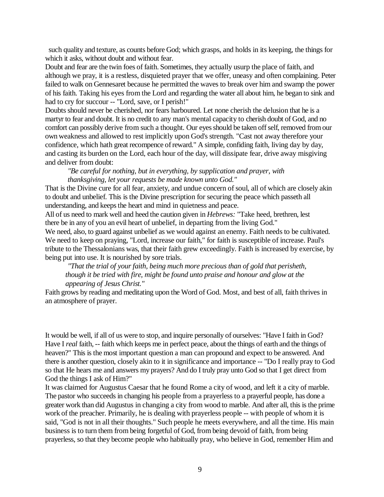such quality and texture, as counts before God; which grasps, and holds in its keeping, the things for which it asks, without doubt and without fear.

Doubt and fear are the twin foes of faith. Sometimes, they actually usurp the place of faith, and although we pray, it is a restless, disquieted prayer that we offer, uneasy and often complaining. Peter failed to walk on Gennesaret because he permitted the waves to break over him and swamp the power of his faith. Taking his eyes from the Lord and regarding the water all about him, he began to sink and had to cry for succour -- "Lord, save, or I perish!"

Doubts should never be cherished, nor fears harboured. Let none cherish the delusion that he is a martyr to fear and doubt. It is no credit to any man's mental capacity to cherish doubt of God, and no comfort can possibly derive from such a thought. Our eyes should be taken off self, removed from our own weakness and allowed to rest implicitly upon God's strength. "Cast not away therefore your confidence, which hath great recompence of reward." A simple, confiding faith, living day by day, and casting its burden on the Lord, each hour of the day, will dissipate fear, drive away misgiving and deliver from doubt:

*"Be careful for nothing, but in everything, by supplication and prayer, with thanksgiving, let your requests be made known unto God."*

That is the Divine cure for all fear, anxiety, and undue concern of soul, all of which are closely akin to doubt and unbelief. This is the Divine prescription for securing the peace which passeth all understanding, and keeps the heart and mind in quietness and peace.

All of us need to mark well and heed the caution given in *Hebrews:* "Take heed, brethren, lest there be in any of you an evil heart of unbelief, in departing from the living God."

We need, also, to guard against unbelief as we would against an enemy. Faith needs to be cultivated. We need to keep on praying, "Lord, increase our faith," for faith is susceptible of increase. Paul's tribute to the Thessalonians was, that their faith grew exceedingly. Faith is increased by exercise, by being put into use. It is nourished by sore trials.

*"That the trial of your faith, being much more precious than of gold that perisheth, though it be tried with fire, might be found unto praise and honour and glow at the appearing of Jesus Christ."*

Faith grows by reading and meditating upon the Word of God. Most, and best of all, faith thrives in an atmosphere of prayer.

It would be well, if all of us were to stop, and inquire personally of ourselves: "Have I faith in God? Have I *real* faith, -- faith which keeps me in perfect peace, about the things of earth and the things of heaven?" This is the most important question a man can propound and expect to be answered. And there is another question, closely akin to it in significance and importance -- "Do I really pray to God so that He hears me and answers my prayers? And do I truly pray unto God so that I get direct from God the things I ask of Him?"

It was claimed for Augustus Caesar that he found Rome a city of wood, and left it a city of marble. The pastor who succeeds in changing his people from a prayerless to a prayerful people, has done a greater work than did Augustus in changing a city from wood to marble. And after all, this is the prime work of the preacher. Primarily, he is dealing with prayerless people -- with people of whom it is said, "God is not in all their thoughts." Such people he meets everywhere, and all the time. His main business is to turn them from being forgetful of God, from being devoid of faith, from being prayerless, so that they become people who habitually pray, who believe in God, remember Him and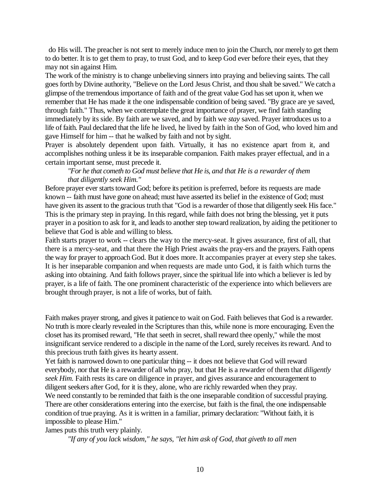do His will. The preacher is not sent to merely induce men to join the Church, nor merely to get them to do better. It is to get them to pray, to trust God, and to keep God ever before their eyes, that they may not sin against Him.

The work of the ministry is to change unbelieving sinners into praying and believing saints. The call goes forth by Divine authority, "Believe on the Lord Jesus Christ, and thou shalt be saved." We catch a glimpse of the tremendous importance of faith and of the great value God has set upon it, when we remember that He has made it the one indispensable condition of being saved. "By grace are ye saved, through faith." Thus, when we contemplate the great importance of prayer, we find faith standing immediately by its side. By faith are we saved, and by faith we *stay* saved. Prayer introduces us to a life of faith. Paul declared that the life he lived, he lived by faith in the Son of God, who loved him and gave Himself for him -- that he walked by faith and not by sight.

Prayer is absolutely dependent upon faith. Virtually, it has no existence apart from it, and accomplishes nothing unless it be its inseparable companion. Faith makes prayer effectual, and in a certain important sense, must precede it.

### *"For he that cometh to God must believe that He is, and that He is a rewarder of them that diligently seek Him."*

Before prayer ever starts toward God; before its petition is preferred, before its requests are made known -- faith must have gone on ahead; must have asserted its belief in the existence of God; must have given its assent to the gracious truth that "God is a rewarder of those that diligently seek His face." This is the primary step in praying. In this regard, while faith does not bring the blessing, yet it puts prayer in a position to ask for it, and leads to another step toward realization, by aiding the petitioner to believe that God is able and willing to bless.

Faith starts prayer to work -- clears the way to the mercy-seat. It gives assurance, first of all, that there is a mercy-seat, and that there the High Priest awaits the pray-ers and the prayers. Faith opens the way for prayer to approach God. But it does more. It accompanies prayer at every step she takes. It is her inseparable companion and when requests are made unto God, it is faith which turns the asking into obtaining. And faith follows prayer, since the spiritual life into which a believer is led by prayer, is a life of faith. The one prominent characteristic of the experience into which believers are brought through prayer, is not a life of works, but of faith.

Faith makes prayer strong, and gives it patience to wait on God. Faith believes that God is a rewarder. No truth is more clearly revealed in the Scriptures than this, while none is more encouraging. Even the closet has its promised reward, "He that seeth in secret, shall reward thee openly," while the most insignificant service rendered to a disciple in the name of the Lord, surely receives its reward. And to this precious truth faith gives its hearty assent.

Yet faith is narrowed down to one particular thing -- it does not believe that God will reward everybody, nor that He is a rewarder of all who pray, but that He is a rewarder of them that *diligently seek Him.* Faith rests its care on diligence in prayer, and gives assurance and encouragement to diligent seekers after God, for it is they, alone, who are richly rewarded when they pray.

We need constantly to be reminded that faith is the one inseparable condition of successful praying. There are other considerations entering into the exercise, but faith is the final, the one indispensable condition of true praying. As it is written in a familiar, primary declaration: "Without faith, it is impossible to please Him."

James puts this truth very plainly.

*"If any of you lack wisdom," he says, "let him ask of God, that giveth to all men*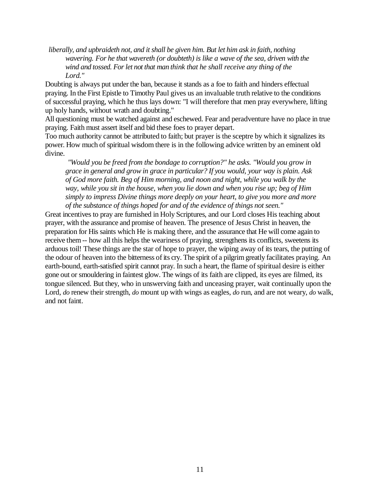*liberally, and upbraideth not, and it shall be given him. But let him ask in faith, nothing wavering. For he that wavereth (or doubteth) is like a wave of the sea, driven with the wind and tossed. For let not that man think that he shall receive any thing of the Lord."*

Doubting is always put under the ban, because it stands as a foe to faith and hinders effectual praying. In the First Epistle to Timothy Paul gives us an invaluable truth relative to the conditions of successful praying, which he thus lays down: "I will therefore that men pray everywhere, lifting up holy hands, without wrath and doubting."

All questioning must be watched against and eschewed. Fear and peradventure have no place in true praying. Faith must assert itself and bid these foes to prayer depart.

Too much authority cannot be attributed to faith; but prayer is the sceptre by which it signalizes its power. How much of spiritual wisdom there is in the following advice written by an eminent old divine.

*"Would you be freed from the bondage to corruption?" he asks. "Would you grow in grace in general and grow in grace in particular? If you would, your way is plain. Ask of God more faith. Beg of Him morning, and noon and night, while you walk by the way, while you sit in the house, when you lie down and when you rise up; beg of Him simply to impress Divine things more deeply on your heart, to give you more and more of the substance of things hoped for and of the evidence of things not seen."*

Great incentives to pray are furnished in Holy Scriptures, and our Lord closes His teaching about prayer, with the assurance and promise of heaven. The presence of Jesus Christ in heaven, the preparation for His saints which He is making there, and the assurance that He will come again to receive them -- how all this helps the weariness of praying, strengthens its conflicts, sweetens its arduous toil! These things are the star of hope to prayer, the wiping away of its tears, the putting of the odour of heaven into the bitterness of its cry. The spirit of a pilgrim greatly facilitates praying. An earth-bound, earth-satisfied spirit cannot pray. In such a heart, the flame of spiritual desire is either gone out or smouldering in faintest glow. The wings of its faith are clipped, its eyes are filmed, its tongue silenced. But they, who in unswerving faith and unceasing prayer, wait continually upon the Lord, *do* renew their strength, *do* mount up with wings as eagles, *do* run, and are not weary, *do* walk, and not faint.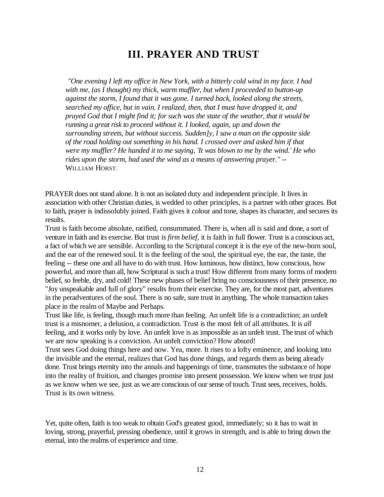# **III. PRAYER AND TRUST**

*"One evening I left my office in New York, with a bitterly cold wind in my face. I had with me, (as I thought) my thick, warm muffler, but when I proceeded to button-up against the storm, I found that it was gone. I turned back, looked along the streets, searched my office, but in vain. I realized, then, that I must have dropped it, and prayed God that I might find it; for such was the state of the weather, that it would be running a great risk to proceed without it. I looked, again, up and down the surrounding streets, but without success. Sudden]y, I saw a man on the opposite side of the road holding out something in his hand. I crossed over and asked him if that were my muffler? He handed it to me saying, 'It was blown to me by the wind.' He who rides upon the storm, had used the wind as a means of answering prayer." --* WILLIAM HORST.

PRAYER does not stand alone. It is not an isolated duty and independent principle. It lives in association with other Christian duties, is wedded to other principles, is a partner with other graces. But to faith, prayer is indissolubly joined. Faith gives it colour and tone, shapes its character, and secures its results.

Trust is faith become absolute, ratified, consummated. There is, when all is said and done, a sort of venture in faith and its exercise. But trust *is firm belief,* it is faith in full flower. Trust is a conscious act, a fact of which we are sensible. According to the Scriptural concept it is the eye of the new-born soul, and the ear of the renewed soul. It is the feeling of the soul, the spiritual eye, the ear, the taste, the feeling -- these one and all have to do with trust. How luminous, how distinct, how conscious, how powerful, and more than all, how Scriptural is such a trust! How different from many forms of modern belief, so feeble, dry, and cold! These new phases of belief bring no consciousness of their presence, no "Joy unspeakable and full of glory" results from their exercise. They are, for the most part, adventures in the peradventures of the soul. There is no safe, sure trust in anything. The whole transaction takes place in the realm of Maybe and Perhaps.

Trust like life, is feeling, though much more than feeling. An unfelt life is a contradiction; an unfelt trust is a misnomer, a delusion, a contradiction. Trust is the most felt of all attributes. It is *all* feeling, and it works only by love. An unfelt love is as impossible as an unfelt trust. The trust of which we are now speaking is a conviction. An unfelt conviction? How absurd!

Trust sees God doing things here and now. Yea, more. It rises to a lofty eminence, and looking into the invisible and the eternal, realizes that God has done things, and regards them as being already done. Trust brings eternity into the annals and happenings of time, transmutes the substance of hope into the reality of fruition, and changes promise into present possession. We know when we trust just as we know when we see, just as we are conscious of our sense of touch. Trust sees, receives, holds. Trust is its own witness.

Yet, quite often, faith is too weak to obtain God's greatest good, immediately; so it has to wait in loving, strong, prayerful, pressing obedience, until it grows in strength, and is able to bring down the eternal, into the realms of experience and time.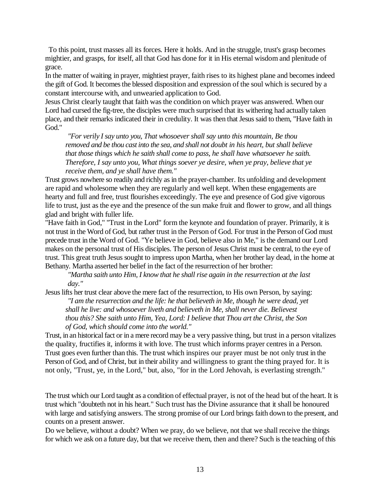To this point, trust masses all its forces. Here it holds. And in the struggle, trust's grasp becomes mightier, and grasps, for itself, all that God has done for it in His eternal wisdom and plenitude of grace.

In the matter of waiting in prayer, mightiest prayer, faith rises to its highest plane and becomes indeed the gift of God. It becomes the blessed disposition and expression of the soul which is secured by a constant intercourse with, and unwearied application to God.

Jesus Christ clearly taught that faith was the condition on which prayer was answered. When our Lord had cursed the fig-tree, the disciples were much surprised that its withering had actually taken place, and their remarks indicated their in credulity. It was then that Jesus said to them, "Have faith in God."

*"For verily I say unto you, That whosoever shall say unto this mountain, Be thou removed and be thou cast into the sea, and shall not doubt in his heart, but shall believe that those things which he saith shall come to pass, he shall have whatsoever he saith. Therefore, I say unto you, What things soever ye desire, when ye pray, believe that ye receive them, and ye shall have them."*

Trust grows nowhere so readily and richly as in the prayer-chamber. Its unfolding and development are rapid and wholesome when they are regularly and well kept. When these engagements are hearty and full and free, trust flourishes exceedingly. The eye and presence of God give vigorous life to trust, just as the eye and the presence of the sun make fruit and flower to grow, and all things glad and bright with fuller life.

"Have faith in God," "Trust in the Lord" form the keynote and foundation of prayer. Primarily, it is not trust in the Word of God, but rather trust in the Person of God. For trust in the Person of God must precede trust in the Word of God. "Ye believe in God, believe also in Me," is the demand our Lord makes on the personal trust of His disciples. The person of Jesus Christ must be central, to the eye of trust. This great truth Jesus sought to impress upon Martha, when her brother lay dead, in the home at Bethany. Martha asserted her belief in the fact of the resurrection of her brother:

*"Martha saith unto Him, I know that he shall rise again in the resurrection at the last day."*

Jesus lifts her trust clear above the mere fact of the resurrection, to His own Person, by saying: *"I am the resurrection and the life: he that believeth in Me, though he were dead, yet shall he live: and whosoever liveth and believeth in Me, shall never die. Believest thou this? She saith unto Him, Yea, Lord: I believe that Thou art the Christ, the Son of God, which should come into the world."*

Trust, in an historical fact or in a mere record may be a very passive thing, but trust in a person vitalizes the quality, fructifies it, informs it with love. The trust which informs prayer centres in a Person. Trust goes even further than this. The trust which inspires our prayer must be not only trust in the Person of God, and of Christ, but in their ability and willingness to grant the thing prayed for. It is not only, "Trust, ye, in the Lord," but, also, "for in the Lord Jehovah, is everlasting strength."

The trust which our Lord taught as a condition of effectual prayer, is not of the head but of the heart. It is trust which "doubteth not in his heart." Such trust has the Divine assurance that it shall be honoured with large and satisfying answers. The strong promise of our Lord brings faith down to the present, and counts on a present answer.

Do we believe, without a doubt? When we pray, do we believe, not that we shall receive the things for which we ask on a future day, but that we receive them, then and there? Such is the teaching of this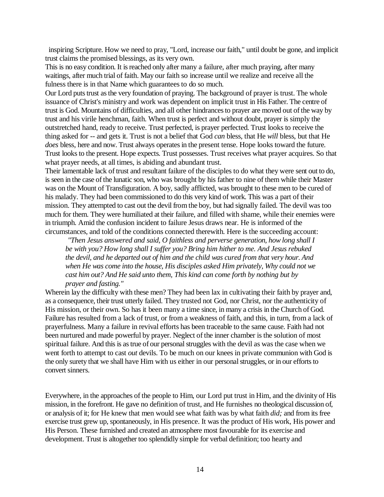inspiring Scripture. How we need to pray, "Lord, increase our faith," until doubt be gone, and implicit trust claims the promised blessings, as its very own.

This is no easy condition. It is reached only after many a failure, after much praying, after many waitings, after much trial of faith. May our faith so increase until we realize and receive all the fulness there is in that Name which guarantees to do so much.

Our Lord puts trust as the very foundation of praying. The background of prayer is trust. The whole issuance of Christ's ministry and work was dependent on implicit trust in His Father. The centre of trust is God. Mountains of difficulties, and all other hindrances to prayer are moved out of the way by trust and his virile henchman, faith. When trust is perfect and without doubt, prayer is simply the outstretched hand, ready to receive. Trust perfected, is prayer perfected. Trust looks to receive the thing asked for -- and gets it. Trust is not a belief that God *can* bless, that He *will* bless, but that He *does* bless, here and now. Trust always operates in the present tense. Hope looks toward the future. Trust looks to the present. Hope expects. Trust possesses. Trust receives what prayer acquires. So that what prayer needs, at all times, is abiding and abundant trust.

Their lamentable lack of trust and resultant failure of the disciples to do what they were sent out to do, is seen in the case of the lunatic son, who was brought by his father to nine of them while their Master was on the Mount of Transfiguration. A boy, sadly afflicted, was brought to these men to be cured of his malady. They had been commissioned to do this very kind of work. This was a part of their mission. They attempted to cast out the devil from the boy, but had signally failed. The devil was too much for them. They were humiliated at their failure, and filled with shame, while their enemies were in triumph. Amid the confusion incident to failure Jesus draws near. He is informed of the circumstances, and told of the conditions connected therewith. Here is the succeeding account:

*"Then Jesus answered and said, O faithless and perverse generation, how long shall I be with you? How long shall I suffer you? Bring him hither to me. And Jesus rebuked the devil, and he departed out of him and the child was cured from that very hour. And when He was come into the house, His disciples asked Him privately, Why could not we cast him out? And He said unto them, This kind can come forth by nothing but by prayer and fasting."*

Wherein lay the difficulty with these men? They had been lax in cultivating their faith by prayer and, as a consequence, their trust utterly failed. They trusted not God, nor Christ, nor the authenticity of His mission, or their own. So has it been many a time since, in many a crisis in the Church of God. Failure has resulted from a lack of trust, or from a weakness of faith, and this, in turn, from a lack of prayerfulness. Many a failure in revival efforts has been traceable to the same cause. Faith had not been nurtured and made powerful by prayer. Neglect of the inner chamber is the solution of most spiritual failure. And this is as true of our personal struggles with the devil as was the case when we went forth to attempt to cast *out* devils. To be much on our knees in private communion with God is the only surety that we shall have Him with us either in our personal struggles, or in our efforts to convert sinners.

Everywhere, in the approaches of the people to Him, our Lord put trust in Him, and the divinity of His mission, in the forefront. He gave no definition of trust, and He furnishes no theological discussion of, or analysis of it; for He knew that men would see what faith was by what faith *did;* and from its free exercise trust grew up, spontaneously, in His presence. It was the product of His work, His power and His Person. These furnished and created an atmosphere most favourable for its exercise and development. Trust is altogether too splendidly simple for verbal definition; too hearty and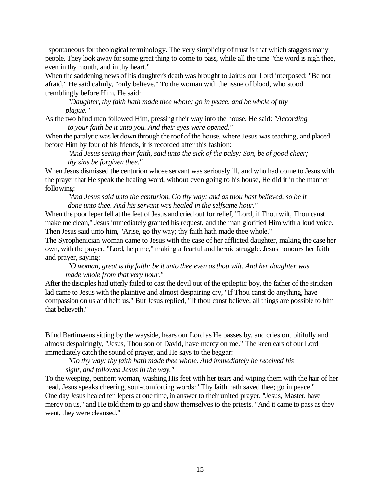spontaneous for theological terminology. The very simplicity of trust is that which staggers many people. They look away for some great thing to come to pass, while all the time "the word is nigh thee, even in thy mouth, and in thy heart."

When the saddening news of his daughter's death was brought to Jairus our Lord interposed: "Be not afraid," He said calmly, "only believe." To the woman with the issue of blood, who stood tremblingly before Him, He said:

*"Daughter, thy faith hath made thee whole; go in peace, and be whole of thy plague."*

As the two blind men followed Him, pressing their way into the house, He said: *"According to your faith be it unto you. And their eyes were opened."*

When the paralytic was let down through the roof of the house, where Jesus was teaching, and placed before Him by four of his friends, it is recorded after this fashion:

*"And Jesus seeing their faith, said unto the sick of the palsy: Son, be of good cheer; thy sins be forgiven thee."*

When Jesus dismissed the centurion whose servant was seriously ill, and who had come to Jesus with the prayer that He speak the healing word, without even going to his house, He did it in the manner following:

*"And Jesus said unto the centurion, Go thy way; and as thou hast believed, so be it done unto thee. And his servant was healed in the selfsame hour."*

When the poor leper fell at the feet of Jesus and cried out for relief, "Lord, if Thou wilt, Thou canst make me clean," Jesus immediately granted his request, and the man glorified Him with a loud voice. Then Jesus said unto him, "Arise, go thy way; thy faith hath made thee whole."

The Syrophenician woman came to Jesus with the case of her afflicted daughter, making the case her own, with the prayer, "Lord, help me," making a fearful and heroic struggle. Jesus honours her faith and prayer, saying:

### *"O woman, great is thy faith: be it unto thee even as thou wilt. And her daughter was made whole from that very hour."*

After the disciples had utterly failed to cast the devil out of the epileptic boy, the father of the stricken lad came to Jesus with the plaintive and almost despairing cry, "If Thou canst do anything, have compassion on us and help us." But Jesus replied, "If thou canst believe, all things are possible to him that believeth."

Blind Bartimaeus sitting by the wayside, hears our Lord as He passes by, and cries out pitifully and almost despairingly, "Jesus, Thou son of David, have mercy on me." The keen ears of our Lord immediately catch the sound of prayer, and He says to the beggar:

*"Go thy way; thy faith hath made thee whole. And immediately he received his sight, and followed Jesus in the way."*

To the weeping, penitent woman, washing His feet with her tears and wiping them with the hair of her head, Jesus speaks cheering, soul-comforting words: "Thy faith hath saved thee; go in peace." One day Jesus healed ten lepers at one time, in answer to their united prayer, "Jesus, Master, have mercy on us," and He told them to go and show themselves to the priests. "And it came to pass as they went, they were cleansed."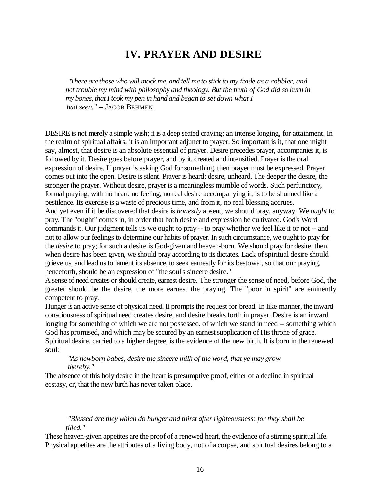### **IV. PRAYER AND DESIRE**

*"There are those who will mock me, and tell me to stick to my trade as a cobbler, and not trouble my mind with philosophy and theology. But the truth of God did so burn in my bones, that I took my pen in hand and began to set down what I had seen." --* JACOB BEHMEN.

DESIRE is not merely a simple wish; it is a deep seated craving; an intense longing, for attainment. In the realm of spiritual affairs, it is an important adjunct to prayer. So important is it, that one might say, almost, that desire is an absolute essential of prayer. Desire precedes prayer, accompanies it, is followed by it. Desire goes before prayer, and by it, created and intensified. Prayer is the oral expression of desire. If prayer is asking God for something, then prayer must be expressed. Prayer comes out into the open. Desire is silent. Prayer is heard; desire, unheard. The deeper the desire, the stronger the prayer. Without desire, prayer is a meaningless mumble of words. Such perfunctory, formal praying, with no heart, no feeling, no real desire accompanying it, is to be shunned like a pestilence. Its exercise is a waste of precious time, and from it, no real blessing accrues. And yet even if it be discovered that desire is *honestly* absent, we should pray, anyway. We *ought* to pray. The "ought" comes in, in order that both desire and expression be cultivated. God's Word commands it. Our judgment tells us we ought to pray -- to pray whether we feel like it or not -- and not to allow our feelings to determine our habits of prayer. In such circumstance, we ought to pray for the *desire* to pray; for such a desire is God-given and heaven-born. We should pray for desire; then, when desire has been given, we should pray according to its dictates. Lack of spiritual desire should grieve us, and lead us to lament its absence, to seek earnestly for its bestowal, so that our praying, henceforth, should be an expression of "the soul's sincere desire."

A sense of need creates or should create, earnest desire. The stronger the sense of need, before God, the greater should be the desire, the more earnest the praying. The "poor in spirit" are eminently competent to pray.

Hunger is an active sense of physical need. It prompts the request for bread. In like manner, the inward consciousness of spiritual need creates desire, and desire breaks forth in prayer. Desire is an inward longing for something of which we are not possessed, of which we stand in need -- something which God has promised, and which may be secured by an earnest supplication of His throne of grace. Spiritual desire, carried to a higher degree, is the evidence of the new birth. It is born in the renewed soul:

#### *"As newborn babes, desire the sincere milk of the word, that ye may grow thereby."*

The absence of this holy desire in the heart is presumptive proof, either of a decline in spiritual ecstasy, or, that the new birth has never taken place.

### *"Blessed are they which do hunger and thirst after righteousness: for they shall be filled."*

These heaven-given appetites are the proof of a renewed heart, the evidence of a stirring spiritual life. Physical appetites are the attributes of a living body, not of a corpse, and spiritual desires belong to a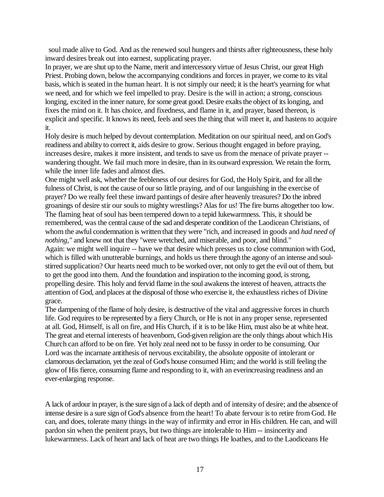soul made alive to God. And as the renewed soul hungers and thirsts after righteousness, these holy inward desires break out into earnest, supplicating prayer.

In prayer, we are shut up to the Name, merit and intercessory virtue of Jesus Christ, our great High Priest. Probing down, below the accompanying conditions and forces in prayer, we come to its vital basis, which is seated in the human heart. It is not simply our need; it is the heart's yearning for what we need, and for which we feel impelled to pray. Desire is the will in action; a strong, conscious longing, excited in the inner nature, for some great good. Desire exalts the object of its longing, and fixes the mind on it. It has choice, and fixedness, and flame in it, and prayer, based thereon, is explicit and specific. It knows its need, feels and sees the thing that will meet it, and hastens to acquire it.

Holy desire is much helped by devout contemplation. Meditation on our spiritual need, and on God's readiness and ability to correct it, aids desire to grow. Serious thought engaged in before praying, increases desire, makes it more insistent, and tends to save us from the menace of private prayer - wandering thought. We fail much more in desire, than in its outward expression. We retain the form, while the inner life fades and almost dies.

One might well ask, whether the feebleness of our desires for God, the Holy Spirit, and for all the fulness of Christ, is not the cause of our so little praying, and of our languishing in the exercise of prayer? Do we really feel these inward pantings of desire after heavenly treasures? Do the inbred groanings of desire stir our souls to mighty wrestlings? Alas for us! The fire burns altogether too low. The flaming heat of soul has been tempered down to a tepid lukewarmness. This, it should be remembered, was the central cause of the sad and desperate condition of the Laodicean Christians, of whom the awful condemnation is written that they were "rich, and increased in goods and *had need of nothing,"* and knew not that they "were wretched, and miserable, and poor, and blind." Again: we might well inquire -- have we that desire which presses us to close communion with God,

which is filled with unutterable burnings, and holds us there through the agony of an intense and soulstirred supplication? Our hearts need much to be worked over, not only to get the evil out of them, but to get the good into them. And the foundation and inspiration to the incoming good, is strong, propelling desire. This holy and fervid flame in the soul awakens the interest of heaven, attracts the attention of God, and places at the disposal of those who exercise it, the exhaustless riches of Divine grace.

The dampening of the flame of holy desire, is destructive of the vital and aggressive forces in church life. God requires to be represented by a fiery Church, or He is not in any proper sense, represented at all. God, Himself, is all on fire, and His Church, if it is to be like Him, must also be at white heat. The great and eternal interests of heavenborn, God-given religion are the only things about which His Church can afford to be on fire. Yet holy zeal need not to be fussy in order to be consuming. Our Lord was the incarnate antithesis of nervous excitability, the absolute opposite of intolerant or clamorous declamation, yet the zeal of God's house consumed Him; and the world is still feeling the glow of His fierce, consuming flame and responding to it, with an everincreasing readiness and an ever-enlarging response.

A lack of ardour in prayer, is the sure sign of a lack of depth and of intensity of desire; and the absence of intense desire is a sure sign of God's absence from the heart! To abate fervour is to retire from God. He can, and does, tolerate many things in the way of infirmity and error in His children. He can, and will pardon sin when the penitent prays, but two things are intolerable to Him -- insincerity and lukewarmness. Lack of heart and lack of heat are two things He loathes, and to the Laodiceans He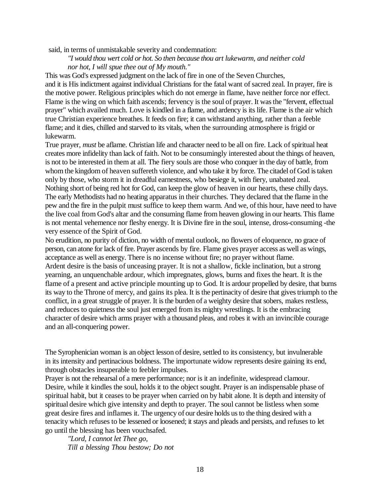said, in terms of unmistakable severity and condemnation:

*"I would thou wert cold or hot. So then because thou art lukewarm, and neither cold nor hot, I will spue thee out of My mouth."*

This was God's expressed judgment on the lack of fire in one of the Seven Churches, and it is His indictment against individual Christians for the fatal want of sacred zeal. In prayer, fire is the motive power. Religious principles which do not emerge in flame, have neither force nor effect. Flame is the wing on which faith ascends; fervency is the soul of prayer. It was the "fervent, effectual prayer" which availed much. Love is kindled in a flame, and ardency is its life. Flame is the air which true Christian experience breathes. It feeds on fire; it can withstand anything, rather than a feeble flame; and it dies, chilled and starved to its vitals, when the surrounding atmosphere is frigid or lukewarm.

True prayer, *must* be aflame. Christian life and character need to be all on fire. Lack of spiritual heat creates more infidelity than lack of faith. Not to be consumingly interested about the things of heaven, is not to be interested in them at all. The fiery souls are those who conquer in the day of battle, from whom the kingdom of heaven suffereth violence, and who take it by force. The citadel of God is taken only by those, who storm it in dreadful earnestness, who besiege it, with fiery, unabated zeal. Nothing short of being red hot for God, can keep the glow of heaven in our hearts, these chilly days. The early Methodists had no heating apparatus in their churches. They declared that the flame in the pew and the fire in the pulpit must suffice to keep them warm. And we, of this hour, have need to have the live coal from God's altar and the consuming flame from heaven glowing in our hearts. This flame is not mental vehemence nor fleshy energy. It is Divine fire in the soul, intense, dross-consuming -the very essence of the Spirit of God.

No erudition, no purity of diction, no width of mental outlook, no flowers of eloquence, no grace of person, can atone for lack of fire. Prayer ascends by fire. Flame gives prayer access as well as wings, acceptance as well as energy. There is no incense without fire; no prayer without flame. Ardent desire is the basis of unceasing prayer. It is not a shallow, fickle inclination, but a strong yearning, an unquenchable ardour, which impregnates, glows, burns and fixes the heart. It is the flame of a present and active principle mounting up to God. It is ardour propelled by desire, that burns its way to the Throne of mercy, and gains its plea. It is the pertinacity of desire that gives triumph to the conflict, in a great struggle of prayer. It is the burden of a weighty desire that sobers, makes restless, and reduces to quietness the soul just emerged from its mighty wrestlings. It is the embracing character of desire which arms prayer with a thousand pleas, and robes it with an invincible courage and an all-conquering power.

The Syrophenician woman is an object lesson of desire, settled to its consistency, but invulnerable in its intensity and pertinacious boldness. The importunate widow represents desire gaining its end, through obstacles insuperable to feebler impulses.

Prayer is not the rehearsal of a mere performance; nor is it an indefinite, widespread clamour. Desire, while it kindles the soul, holds it to the object sought. Prayer is an indispensable phase of spiritual habit, but it ceases to be prayer when carried on by habit alone. It is depth and intensity of spiritual desire which give intensity and depth to prayer. The soul cannot be listless when some great desire fires and inflames it. The urgency of our desire holds us to the thing desired with a tenacity which refuses to be lessened or loosened; it stays and pleads and persists, and refuses to let go until the blessing has been vouchsafed.

*"Lord, I cannot let Thee go, Till a blessing Thou bestow; Do not*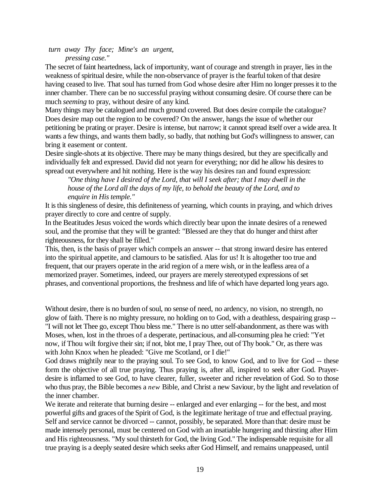*turn away Thy face; Mine's an urgent, pressing case."*

The secret of faint heartedness, lack of importunity, want of courage and strength in prayer, lies in the weakness of spiritual desire, while the non-observance of prayer is the fearful token of that desire having ceased to live. That soul has turned from God whose desire after Him no longer presses it to the inner chamber. There can be no successful praying without consuming desire. Of course there can be much *seeming* to pray, without desire of any kind.

Many things may be catalogued and much ground covered. But does desire compile the catalogue? Does desire map out the region to be covered? On the answer, hangs the issue of whether our petitioning be prating or prayer. Desire is intense, but narrow; it cannot spread itself over a wide area. It wants a few things, and wants them badly, so badly, that nothing but God's willingness to answer, can bring it easement or content.

Desire single-shots at its objective. There may be many things desired, but they are specifically and individually felt and expressed. David did not yearn for everything; nor did he allow his desires to spread out everywhere and hit nothing. Here is the way his desires ran and found expression:

*"One thing have I desired of the Lord, that will I seek after; that I may dwell in the house of the Lord all the days of my life, to behold the beauty of the Lord, and to enquire in His temple."*

It is this singleness of desire, this definiteness of yearning, which counts in praying, and which drives prayer directly to core and centre of supply.

In the Beatitudes Jesus voiced the words which directly bear upon the innate desires of a renewed soul, and the promise that they will be granted: "Blessed are they that do hunger and thirst after righteousness, for they shall be filled."

This, then, is the basis of prayer which compels an answer -- that strong inward desire has entered into the spiritual appetite, and clamours to be satisfied. Alas for us! It is altogether too true and frequent, that our prayers operate in the arid region of a mere wish, or in the leafless area of a memorized prayer. Sometimes, indeed, our prayers are merely stereotyped expressions of set phrases, and conventional proportions, the freshness and life of which have departed long years ago.

Without desire, there is no burden of soul, no sense of need, no ardency, no vision, no strength, no glow of faith. There is no mighty pressure, no holding on to God, with a deathless, despairing grasp -- "I will not let Thee go, except Thou bless me." There is no utter self-abandonment, as there was with Moses, when, lost in the throes of a desperate, pertinacious, and all-consuming plea he cried: "Yet now, if Thou wilt forgive their sin; if not, blot me, I pray Thee, out of Thy book." Or, as there was with John Knox when he pleaded: "Give me Scotland, or I die!"

God draws mightily near to the praying soul. To see God, to know God, and to live for God -- these form the objective of all true praying. Thus praying is, after all, inspired to seek after God. Prayerdesire is inflamed to see God, to have clearer, fuller, sweeter and richer revelation of God. So to those who thus pray, the Bible becomes a *new* Bible, and Christ a new Saviour, by the light and revelation of the inner chamber.

We iterate and reiterate that burning desire -- enlarged and ever enlarging -- for the best, and most powerful gifts and graces of the Spirit of God, is the legitimate heritage of true and effectual praying. Self and service cannot be divorced -- cannot, possibly, be separated. More than that: desire must be made intensely personal, must be centered on God with an insatiable hungering and thirsting after Him and His righteousness. "My soul thirsteth for God, the living God." The indispensable requisite for all true praying is a deeply seated desire which seeks after God Himself, and remains unappeased, until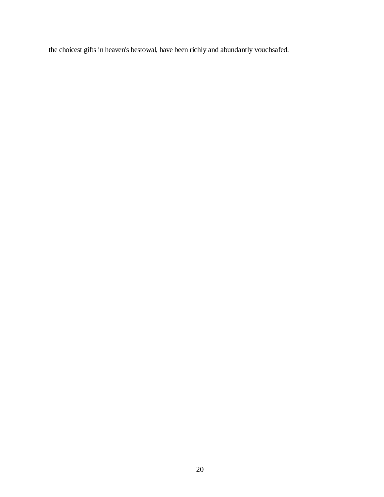the choicest gifts in heaven's bestowal, have been richly and abundantly vouchsafed.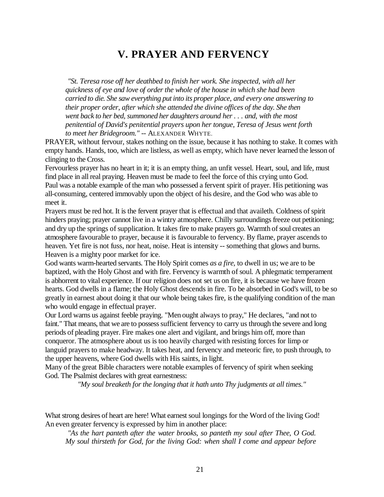# **V. PRAYER AND FERVENCY**

*"St. Teresa rose off her deathbed to finish her work. She inspected, with all her quickness of eye and love of order the whole of the house in which she had been carried to die. She saw everything put into its proper place, and every one answering to their proper order, after which she attended the divine offices of the day. She then went back to her bed, summoned her daughters around her . . . and, with the most penitential of David's penitential prayers upon her tongue, Teresa of Jesus went forth to meet her Bridegroom." --* ALEXANDER WHYTE.

PRAYER, without fervour, stakes nothing on the issue, because it has nothing to stake. It comes with empty hands. Hands, too, which are listless, as well as empty, which have never learned the lesson of clinging to the Cross.

Fervourless prayer has no heart in it; it is an empty thing, an unfit vessel. Heart, soul, and life, must find place in all real praying. Heaven must be made to feel the force of this crying unto God. Paul was a notable example of the man who possessed a fervent spirit of prayer. His petitioning was all-consuming, centered immovably upon the object of his desire, and the God who was able to meet it.

Prayers must be red hot. It is the fervent prayer that is effectual and that availeth. Coldness of spirit hinders praying; prayer cannot live in a wintry atmosphere. Chilly surroundings freeze out petitioning; and dry up the springs of supplication. It takes fire to make prayers go. Warmth of soul creates an atmosphere favourable to prayer, because it is favourable to fervency. By flame, prayer ascends to heaven. Yet fire is not fuss, nor heat, noise. Heat is intensity -- something that glows and burns. Heaven is a mighty poor market for ice.

God wants warm-hearted servants. The Holy Spirit comes *as a fire,* to dwell in us; we are to be baptized, with the Holy Ghost and with fire. Fervency is warmth of soul. A phlegmatic temperament is abhorrent to vital experience. If our religion does not set us on fire, it is because we have frozen hearts. God dwells in a flame; the Holy Ghost descends in fire. To be absorbed in God's will, to be so greatly in earnest about doing it that our whole being takes fire, is the qualifying condition of the man who would engage in effectual prayer.

Our Lord warns us against feeble praying. "Men ought always to pray," He declares, "and not to faint." That means, that we are to possess sufficient fervency to carry us through the severe and long periods of pleading prayer. Fire makes one alert and vigilant, and brings him off, more than conqueror. The atmosphere about us is too heavily charged with resisting forces for limp or languid prayers to make headway. It takes heat, and fervency and meteoric fire, to push through, to the upper heavens, where God dwells with His saints, in light.

Many of the great Bible characters were notable examples of fervency of spirit when seeking God. The Psalmist declares with great earnestness:

*"My soul breaketh for the longing that it hath unto Thy judgments at all times."*

What strong desires of heart are here! What earnest soul longings for the Word of the living God! An even greater fervency is expressed by him in another place:

*"As the hart panteth after the water brooks, so panteth my soul after Thee, O God. My soul thirsteth for God, for the living God: when shall I come and appear before*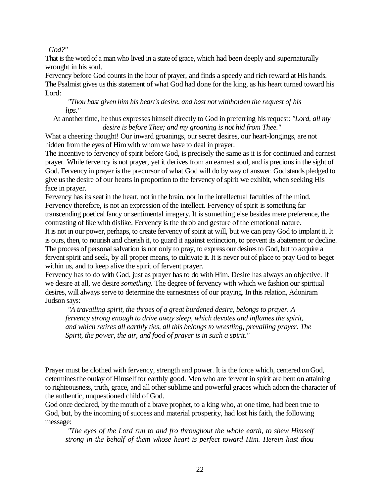### *God?"*

That is the word of a man who lived in a state of grace, which had been deeply and supernaturally wrought in his soul.

Fervency before God counts in the hour of prayer, and finds a speedy and rich reward at His hands. The Psalmist gives us this statement of what God had done for the king, as his heart turned toward his Lord:

### *"Thou hast given him his heart's desire, and hast not withholden the request of his lips."*

At another time, he thus expresses himself directly to God in preferring his request: *"Lord, all my desire is before Thee; and my groaning is not hid from Thee."*

What a cheering thought! Our inward groanings, our secret desires, our heart-longings, are not hidden from the eyes of Him with whom we have to deal in prayer.

The incentive to fervency of spirit before God, is precisely the same as it is for continued and earnest prayer. While fervency is not prayer, yet it derives from an earnest soul, and is precious in the sight of God. Fervency in prayer is the precursor of what God will do by way of answer. God stands pledged to give us the desire of our hearts in proportion to the fervency of spirit we exhibit, when seeking His face in prayer.

Fervency has its seat in the heart, not in the brain, nor in the intellectual faculties of the mind. Fervency therefore, is not an expression of the intellect. Fervency of spirit is something far transcending poetical fancy or sentimental imagery. It is something else besides mere preference, the contrasting of like with dislike. Fervency is the throb and gesture of the emotional nature.

It is not in our power, perhaps, to create fervency of spirit at will, but we can pray God to implant it. It is ours, then, to nourish and cherish it, to guard it against extinction, to prevent its abatement or decline. The process of personal salvation is not only to pray, to express our desires to God, but to acquire a fervent spirit and seek, by all proper means, to cultivate it. It is never out of place to pray God to beget within us, and to keep alive the spirit of fervent prayer.

Fervency has to do with God, just as prayer has to do with Him. Desire has always an objective. If we desire at all, we desire *something.* The degree of fervency with which we fashion our spiritual desires, will always serve to determine the earnestness of our praying. In this relation, Adoniram Judson says:

*"A travailing spirit, the throes of a great burdened desire, belongs to prayer. A fervency strong enough to drive away sleep, which devotes and inflames the spirit, and which retires all earthly ties, all this belongs to wrestling, prevailing prayer. The Spirit, the power, the air, and food of prayer is in such a spirit."*

Prayer must be clothed with fervency, strength and power. It is the force which, centered on God, determines the outlay of Himself for earthly good. Men who are fervent in spirit are bent on attaining to righteousness, truth, grace, and all other sublime and powerful graces which adorn the character of the authentic, unquestioned child of God.

God once declared, by the mouth of a brave prophet, to a king who, at one time, had been true to God, but, by the incoming of success and material prosperity, had lost his faith, the following message:

*"The eyes of the Lord run to and fro throughout the whole earth, to shew Himself strong in the behalf of them whose heart is perfect toward Him. Herein hast thou*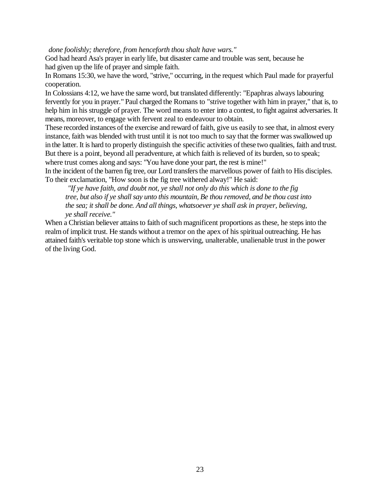*done foolishly; therefore, from henceforth thou shalt have wars."*

God had heard Asa's prayer in early life, but disaster came and trouble was sent, because he had given up the life of prayer and simple faith.

In Romans 15:30, we have the word, "strive," occurring, in the request which Paul made for prayerful cooperation.

In Colossians 4:12, we have the same word, but translated differently: "Epaphras always labouring fervently for you in prayer." Paul charged the Romans to "strive together with him in prayer," that is, to help him in his struggle of prayer. The word means to enter into a contest, to fight against adversaries. It means, moreover, to engage with fervent zeal to endeavour to obtain.

These recorded instances of the exercise and reward of faith, give us easily to see that, in almost every instance, faith was blended with trust until it is not too much to say that the former was swallowed up in the latter. It is hard to properly distinguish the specific activities of these two qualities, faith and trust. But there is a point, beyond all peradventure, at which faith is relieved of its burden, so to speak; where trust comes along and says: "You have done your part, the rest is mine!"

In the incident of the barren fig tree, our Lord transfers the marvellous power of faith to His disciples. To their exclamation, "How soon is the fig tree withered alway!" He said:

*"If ye have faith, and doubt not, ye shall not only do this which is done to the fig tree, but also if ye shall say unto this mountain, Be thou removed, and be thou cast into the sea; it shall be done. And all things, whatsoever ye shall ask in prayer, believing, ye shall receive."*

When a Christian believer attains to faith of such magnificent proportions as these, he steps into the realm of implicit trust. He stands without a tremor on the apex of his spiritual outreaching. He has attained faith's veritable top stone which is unswerving, unalterable, unalienable trust in the power of the living God.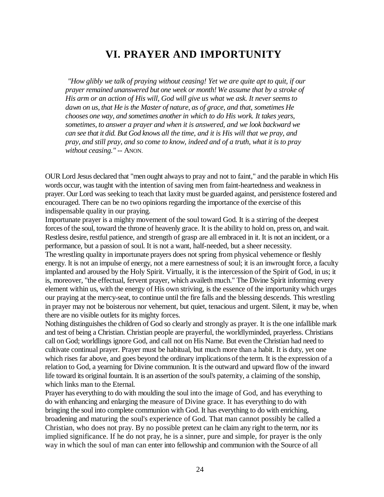## **VI. PRAYER AND IMPORTUNITY**

*"How glibly we talk of praying without ceasing! Yet we are quite apt to quit, if our prayer remained unanswered but one week or month! We assume that by a stroke of His arm or an action of His will, God will give us what we ask. It never seems to dawn on us, that He is the Master of nature, as of grace, and that, sometimes He chooses one way, and sometimes another in which to do His work. It takes years, sometimes, to answer a prayer and when it is answered, and we look backward we can see that it did. But God knows all the time, and it is His will that we pray, and pray, and still pray, and so come to know, indeed and of a truth, what it is to pray without ceasing." --* ANON.

OUR Lord Jesus declared that "men ought always to pray and not to faint," and the parable in which His words occur, was taught with the intention of saving men from faint-heartedness and weakness in prayer. Our Lord was seeking to teach that laxity must be guarded against, and persistence fostered and encouraged. There can be no two opinions regarding the importance of the exercise of this indispensable quality in our praying.

Importunate prayer is a mighty movement of the soul toward God. It is a stirring of the deepest forces of the soul, toward the throne of heavenly grace. It is the ability to hold on, press on, and wait. Restless desire, restful patience, and strength of grasp are all embraced in it. It is not an incident, or a performance, but a passion of soul. It is not a want, half-needed, but a sheer necessity.

The wrestling quality in importunate prayers does not spring from physical vehemence or fleshly energy. It is not an impulse of energy, not a mere earnestness of soul; it is an inwrought force, a faculty implanted and aroused by the Holy Spirit. Virtually, it is the intercession of the Spirit of God, in us; it is, moreover, "the effectual, fervent prayer, which availeth much." The Divine Spirit informing every element within us, with the energy of His own striving, is the essence of the importunity which urges our praying at the mercy-seat, to continue until the fire falls and the blessing descends. This wrestling in prayer may not be boisterous nor vehement, but quiet, tenacious and urgent. Silent, it may be, when there are no visible outlets for its mighty forces.

Nothing distinguishes the children of God so clearly and strongly as prayer. It is the one infallible mark and test of being a Christian. Christian people are prayerful, the worldlyminded, prayerless. Christians call on God; worldlings ignore God, and call not on His Name. But even the Christian had need to cultivate continual prayer. Prayer must be habitual, but much more than a habit. It is duty, yet one which rises far above, and goes beyond the ordinary implications of the term. It is the expression of a relation to God, a yearning for Divine communion. It is the outward and upward flow of the inward life toward its original fountain. It is an assertion of the soul's paternity, a claiming of the sonship, which links man to the Eternal.

Prayer has everything to do with moulding the soul into the image of God, and has everything to do with enhancing and enlarging the measure of Divine grace. It has everything to do with bringing the soul into complete communion with God. It has everything to do with enriching, broadening and maturing the soul's experience of God. That man cannot possibly be called a Christian, who does not pray. By no possible pretext can he claim any right to the term, nor its implied significance. If he do not pray, he is a sinner, pure and simple, for prayer is the only way in which the soul of man can enter into fellowship and communion with the Source of all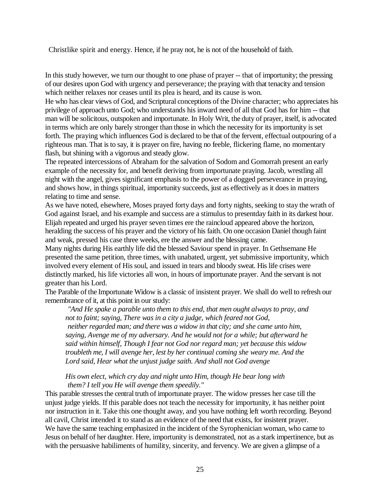Christlike spirit and energy. Hence, if he pray not, he is not of the household of faith.

In this study however, we turn our thought to one phase of prayer -- that of importunity; the pressing of our desires upon God with urgency and perseverance; the praying with that tenacity and tension which neither relaxes nor ceases until its plea is heard, and its cause is won.

He who has clear views of God, and Scriptural conceptions of the Divine character; who appreciates his privilege of approach unto God; who understands his inward need of all that God has for him -- that man will be solicitous, outspoken and importunate. In Holy Writ, the duty of prayer, itself, is advocated in terms which are only barely stronger than those in which the necessity for its importunity is set forth. The praying which influences God is declared to be that of the fervent, effectual outpouring of a righteous man. That is to say, it is prayer on fire, having no feeble, flickering flame, no momentary flash, but shining with a vigorous and steady glow.

The repeated intercessions of Abraham for the salvation of Sodom and Gomorrah present an early example of the necessity for, and benefit deriving from importunate praying. Jacob, wrestling all night with the angel, gives significant emphasis to the power of a dogged perseverance in praying, and shows how, in things spiritual, importunity succeeds, just as effectively as it does in matters relating to time and sense.

As we have noted, elsewhere, Moses prayed forty days and forty nights, seeking to stay the wrath of God against Israel, and his example and success are a stimulus to presentday faith in its darkest hour. Elijah repeated and urged his prayer seven times ere the raincloud appeared above the horizon, heralding the success of his prayer and the victory of his faith. On one occasion Daniel though faint and weak, pressed his case three weeks, ere the answer and the blessing came.

Many nights during His earthly life did the blessed Saviour spend in prayer. In Gethsemane He presented the same petition, three times, with unabated, urgent, yet submissive importunity, which involved every element of His soul, and issued in tears and bloody sweat. His life crises were distinctly marked, his life victories all won, in hours of importunate prayer. And the servant is not greater than his Lord.

The Parable of the Importunate Widow is a classic of insistent prayer. We shall do well to refresh our remembrance of it, at this point in our study:

*"And He spake a parable unto them to this end, that men ought always to pray, and not to faint; saying, There was in a city a judge, which feared not God, neither regarded man; and there was a widow in that city; and she came unto him, saying, Avenge me of my adversary. And he would not for a while; but afterward he said within himself, Though I fear not God nor regard man; yet because this widow troubleth me, I will avenge her, lest by her continual coming she weary me. And the Lord said, Hear what the unjust judge saith. And shall not God avenge*

#### *His own elect, which cry day and night unto Him, though He bear long with them? I tell you He will avenge them speedily."*

This parable stresses the central truth of importunate prayer. The widow presses her case till the unjust judge yields. If this parable does not teach the necessity for importunity, it has neither point nor instruction in it. Take this one thought away, and you have nothing left worth recording. Beyond all cavil, Christ intended it to stand as an evidence of the need that exists, for insistent prayer. We have the same teaching emphasized in the incident of the Syrophenician woman, who came to Jesus on behalf of her daughter. Here, importunity is demonstrated, not as a stark impertinence, but as with the persuasive habiliments of humility, sincerity, and fervency. We are given a glimpse of a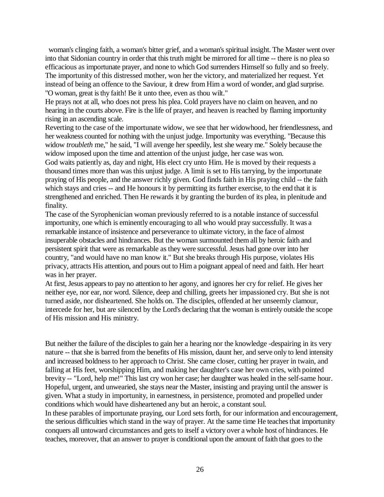woman's clinging faith, a woman's bitter grief, and a woman's spiritual insight. The Master went over into that Sidonian country in order that this truth might be mirrored for all time -- there is no plea so efficacious as importunate prayer, and none to which God surrenders Himself so fully and so freely. The importunity of this distressed mother, won her the victory, and materialized her request. Yet instead of being an offence to the Saviour, it drew from Him a word of wonder, and glad surprise. "O woman, great is thy faith! Be it unto thee, even as thou wilt."

He prays not at all, who does not press his plea. Cold prayers have no claim on heaven, and no hearing in the courts above. Fire is the life of prayer, and heaven is reached by flaming importunity rising in an ascending scale.

Reverting to the case of the importunate widow, we see that her widowhood, her friendlessness, and her weakness counted for nothing with the unjust judge. Importunity was everything. "Because this widow *troubleth* me," he said, "I will avenge her speedily, lest she weary me." Solely because the widow imposed upon the time and attention of the unjust judge, her case was won.

God waits patiently as, day and night, His elect cry unto Him. He is moved by their requests a thousand times more than was this unjust judge. A limit is set to His tarrying, by the importunate praying of His people, and the answer richly given. God finds faith in His praying child -- the faith which stays and cries -- and He honours it by permitting its further exercise, to the end that it is strengthened and enriched. Then He rewards it by granting the burden of its plea, in plenitude and finality.

The case of the Syrophenician woman previously referred to is a notable instance of successful importunity, one which is eminently encouraging to all who would pray successfully. It was a remarkable instance of insistence and perseverance to ultimate victory, in the face of almost insuperable obstacles and hindrances. But the woman surmounted them all by heroic faith and persistent spirit that were as remarkable as they were successful. Jesus had gone over into her country, "and would have no man know it." But she breaks through His purpose, violates His privacy, attracts His attention, and pours out to Him a poignant appeal of need and faith. Her heart was in her prayer.

At first, Jesus appears to pay no attention to her agony, and ignores her cry for relief. He gives her neither eye, nor ear, nor word. Silence, deep and chilling, greets her impassioned cry. But she is not turned aside, nor disheartened. She holds on. The disciples, offended at her unseemly clamour, intercede for her, but are silenced by the Lord's declaring that the woman is entirely outside the scope of His mission and His ministry.

But neither the failure of the disciples to gain her a hearing nor the knowledge -despairing in its very nature -- that she is barred from the benefits of His mission, daunt her, and serve only to lend intensity and increased boldness to her approach to Christ. She came closer, cutting her prayer in twain, and falling at His feet, worshipping Him, and making her daughter's case her own cries, with pointed brevity -- "Lord, help me!" This last cry won her case; her daughter was healed in the self-same hour. Hopeful, urgent, and unwearied, she stays near the Master, insisting and praying until the answer is given. What a study in importunity, in earnestness, in persistence, promoted and propelled under conditions which would have disheartened any but an heroic, a constant soul.

In these parables of importunate praying, our Lord sets forth, for our information and encouragement, the serious difficulties which stand in the way of prayer. At the same time He teaches that importunity conquers all untoward circumstances and gets to itself a victory over a whole host of hindrances. He teaches, moreover, that an answer to prayer is conditional upon the amount of faith that goes to the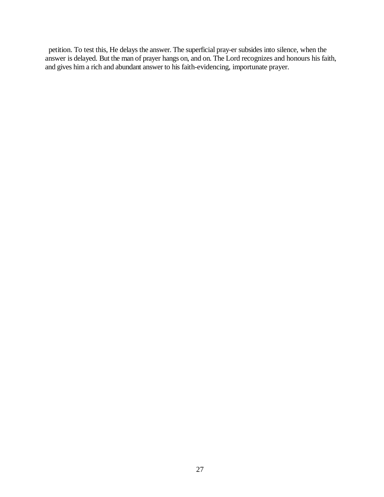petition. To test this, He delays the answer. The superficial pray-er subsides into silence, when the answer is delayed. But the man of prayer hangs on, and on. The Lord recognizes and honours his faith, and gives him a rich and abundant answer to his faith-evidencing, importunate prayer.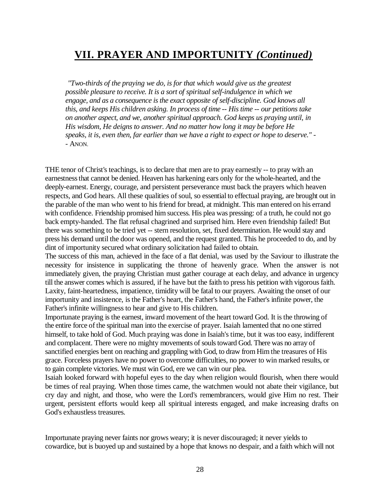# **VII. PRAYER AND IMPORTUNITY** *(Continued)*

*"Two-thirds of the praying we do, is for that which would give us the greatest possible pleasure to receive. It is a sort of spiritual self-indulgence in which we engage, and as a consequence is the exact opposite of self-discipline. God knows all this, and keeps His children asking. In process of time -- His time -- our petitions take on another aspect, and we, another spiritual approach. God keeps us praying until, in His wisdom, He deigns to answer. And no matter how long it may be before He speaks, it is, even then, far earlier than we have a right to expect or hope to deserve." - -* ANON.

THE tenor of Christ's teachings, is to declare that men are to pray earnestly -- to pray with an earnestness that cannot be denied. Heaven has harkening ears only for the whole-hearted, and the deeply-earnest. Energy, courage, and persistent perseverance must back the prayers which heaven respects, and God hears. All these qualities of soul, so essential to effectual praying, are brought out in the parable of the man who went to his friend for bread, at midnight. This man entered on his errand with confidence. Friendship promised him success. His plea was pressing: of a truth, he could not go back empty-handed. The flat refusal chagrined and surprised him. Here even friendship failed! But there was something to be tried yet -- stern resolution, set, fixed determination. He would stay and press his demand until the door was opened, and the request granted. This he proceeded to do, and by dint of importunity secured what ordinary solicitation had failed to obtain.

The success of this man, achieved in the face of a flat denial, was used by the Saviour to illustrate the necessity for insistence in supplicating the throne of heavenly grace. When the answer is not immediately given, the praying Christian must gather courage at each delay, and advance in urgency till the answer comes which is assured, if he have but the faith to press his petition with vigorous faith. Laxity, faint-heartedness, impatience, timidity will be fatal to our prayers. Awaiting the onset of our importunity and insistence, is the Father's heart, the Father's hand, the Father's infinite power, the Father's infinite willingness to hear and give to His children.

Importunate praying is the earnest, inward movement of the heart toward God. It is the throwing of the entire force of the spiritual man into the exercise of prayer. Isaiah lamented that no one stirred himself, to take hold of God. Much praying was done in Isaiah's time, but it was too easy, indifferent and complacent. There were no mighty movements of souls toward God. There was no array of sanctified energies bent on reaching and grappling with God, to draw from Him the treasures of His grace. Forceless prayers have no power to overcome difficulties, no power to win marked results, or to gain complete victories. We must win God, ere we can win our plea.

Isaiah looked forward with hopeful eyes to the day when religion would flourish, when there would be times of real praying. When those times came, the watchmen would not abate their vigilance, but cry day and night, and those, who were the Lord's remembrancers, would give Him no rest. Their urgent, persistent efforts would keep all spiritual interests engaged, and make increasing drafts on God's exhaustless treasures.

Importunate praying never faints nor grows weary; it is never discouraged; it never yields to cowardice, but is buoyed up and sustained by a hope that knows no despair, and a faith which will not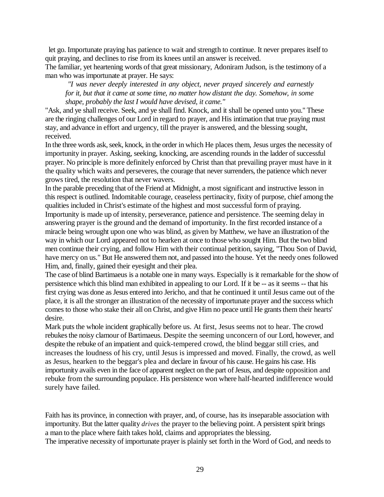let go. Importunate praying has patience to wait and strength to continue. It never prepares itself to quit praying, and declines to rise from its knees until an answer is received.

The familiar, yet heartening words of that great missionary, Adoniram Judson, is the testimony of a man who was importunate at prayer. He says:

*"I was never deeply interested in any object, never prayed sincerely and earnestly for it, but that it came at some time, no matter how distant the day. Somehow, in some shape, probably the last I would have devised, it came."*

"Ask, and ye shall receive. Seek, and ye shall find. Knock, and it shall be opened unto you." These are the ringing challenges of our Lord in regard to prayer, and His intimation that true praying must stay, and advance in effort and urgency, till the prayer is answered, and the blessing sought, received.

In the three words ask, seek, knock, in the order in which He places them, Jesus urges the necessity of importunity in prayer. Asking, seeking, knocking, are ascending rounds in the ladder of successful prayer. No principle is more definitely enforced by Christ than that prevailing prayer must have in it the quality which waits and perseveres, the courage that never surrenders, the patience which never grows tired, the resolution that never wavers.

In the parable preceding that of the Friend at Midnight, a most significant and instructive lesson in this respect is outlined. Indomitable courage, ceaseless pertinacity, fixity of purpose, chief among the qualities included in Christ's estimate of the highest and most successful form of praying. Importunity is made up of intensity, perseverance, patience and persistence. The seeming delay in answering prayer is the ground and the demand of importunity. In the first recorded instance of a miracle being wrought upon one who was blind, as given by Matthew, we have an illustration of the way in which our Lord appeared not to hearken at once to those who sought Him. But the two blind men continue their crying, and follow Him with their continual petition, saying, "Thou Son of David, have mercy on us." But He answered them not, and passed into the house. Yet the needy ones followed Him, and, finally, gained their eyesight and their plea.

The case of blind Bartimaeus is a notable one in many ways. Especially is it remarkable for the show of persistence which this blind man exhibited in appealing to our Lord. If it be -- as it seems -- that his first crying was done as Jesus entered into Jericho, and that he continued it until Jesus came out of the place, it is all the stronger an illustration of the necessity of importunate prayer and the success which comes to those who stake their all on Christ, and give Him no peace until He grants them their hearts' desire.

Mark puts the whole incident graphically before us. At first, Jesus seems not to hear. The crowd rebukes the noisy clamour of Bartimaeus. Despite the seeming unconcern of our Lord, however, and despite the rebuke of an impatient and quick-tempered crowd, the blind beggar still cries, and increases the loudness of his cry, until Jesus is impressed and moved. Finally, the crowd, as well as Jesus, hearken to the beggar's plea and declare in favour of his cause. He gains his case. His importunity avails even in the face of apparent neglect on the part of Jesus, and despite opposition and rebuke from the surrounding populace. His persistence won where half-hearted indifference would surely have failed.

Faith has its province, in connection with prayer, and, of course, has its inseparable association with importunity. But the latter quality *drives* the prayer to the believing point. A persistent spirit brings a man to the place where faith takes hold, claims and appropriates the blessing. The imperative necessity of importunate prayer is plainly set forth in the Word of God, and needs to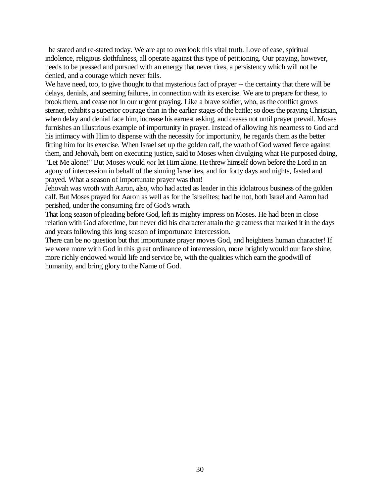be stated and re-stated today. We are apt to overlook this vital truth. Love of ease, spiritual indolence, religious slothfulness, all operate against this type of petitioning. Our praying, however, needs to be pressed and pursued with an energy that never tires, a persistency which will not be denied, and a courage which never fails.

We have need, too, to give thought to that mysterious fact of prayer -- the certainty that there will be delays, denials, and seeming failures, in connection with its exercise. We are to prepare for these, to brook them, and cease not in our urgent praying. Like a brave soldier, who, as the conflict grows sterner, exhibits a superior courage than in the earlier stages of the battle; so does the praying Christian, when delay and denial face him, increase his earnest asking, and ceases not until prayer prevail. Moses furnishes an illustrious example of importunity in prayer. Instead of allowing his nearness to God and his intimacy with Him to dispense with the necessity for importunity, he regards them as the better fitting him for its exercise. When Israel set up the golden calf, the wrath of God waxed fierce against them, and Jehovah, bent on executing justice, said to Moses when divulging what He purposed doing, "Let Me alone!" But Moses would *not* let Him alone. He threw himself down before the Lord in an agony of intercession in behalf of the sinning Israelites, and for forty days and nights, fasted and prayed. What a season of importunate prayer was that!

Jehovah was wroth with Aaron, also, who had acted as leader in this idolatrous business of the golden calf. But Moses prayed for Aaron as well as for the Israelites; had he not, both Israel and Aaron had perished, under the consuming fire of God's wrath.

That long season of pleading before God, left its mighty impress on Moses. He had been in close relation with God aforetime, but never did his character attain the greatness that marked it in the days and years following this long season of importunate intercession.

There can be no question but that importunate prayer moves God, and heightens human character! If we were more with God in this great ordinance of intercession, more brightly would our face shine, more richly endowed would life and service be, with the qualities which earn the goodwill of humanity, and bring glory to the Name of God.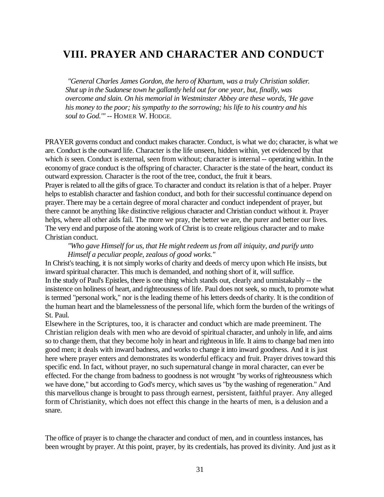# **VIII. PRAYER AND CHARACTER AND CONDUCT**

*"General Charles James Gordon, the hero of Khartum, was a truly Christian soldier. Shut up in the Sudanese town he gallantly held out for one year, but, finally, was overcome and slain. On his memorial in Westminster Abbey are these words, 'He gave his money to the poor; his sympathy to the sorrowing; his life to his country and his soul to God.'" --* HOMER W. HODGE.

PRAYER governs conduct and conduct makes character. Conduct, is what we do; character, is what we are. Conduct is the outward life. Character is the life unseen, hidden within, yet evidenced by that which *is* seen. Conduct is external, seen from without; character is internal -- operating within. In the economy of grace conduct is the offspring of character. Character is the state of the heart, conduct its outward expression. Character is the root of the tree, conduct, the fruit it bears.

Prayer is related to all the gifts of grace. To character and conduct its relation is that of a helper. Prayer helps to establish character and fashion conduct, and both for their successful continuance depend on prayer. There may be a certain degree of moral character and conduct independent of prayer, but there cannot be anything like distinctive religious character and Christian conduct without it. Prayer helps, where all other aids fail. The more we pray, the better we are, the purer and better our lives. The very end and purpose of the atoning work of Christ is to create religious character and to make Christian conduct.

### *"Who gave Himself for us, that He might redeem us from all iniquity, and purify unto Himself a peculiar people, zealous of good works."*

In Christ's teaching, it is not simply works of charity and deeds of mercy upon which He insists, but inward spiritual character. This much is demanded, and nothing short of it, will suffice. In the study of Paul's Epistles, there is one thing which stands out, clearly and unmistakably -- the insistence on holiness of heart, and righteousness of life. Paul does not seek, so much, to promote what is termed "personal work," nor is the leading theme of his letters deeds of charity. It is the condition of the human heart and the blamelessness of the personal life, which form the burden of the writings of St. Paul.

Elsewhere in the Scriptures, too, it is character and conduct which are made preeminent. The Christian religion deals with men who are devoid of spiritual character, and unholy in life, and aims so to change them, that they become holy in heart and righteous in life. It aims to change bad men into good men; it deals with inward badness, and works to change it into inward goodness. And it is just here where prayer enters and demonstrates its wonderful efficacy and fruit. Prayer drives toward this specific end. In fact, without prayer, no such supernatural change in moral character, can ever be effected. For the change from badness to goodness is not wrought "by works of righteousness which we have done," but according to God's mercy, which saves us "by the washing of regeneration." And this marvellous change is brought to pass through earnest, persistent, faithful prayer. Any alleged form of Christianity, which does not effect this change in the hearts of men, is a delusion and a snare.

The office of prayer is to change the character and conduct of men, and in countless instances, has been wrought by prayer. At this point, prayer, by its credentials, has proved its divinity. And just as it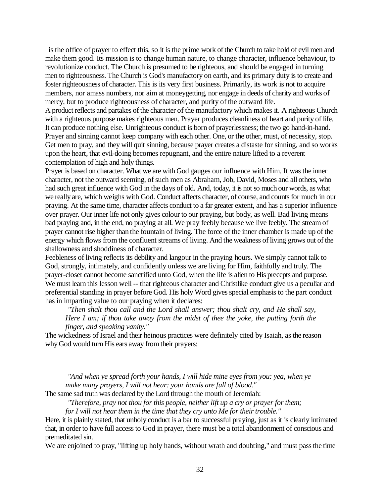is the office of prayer to effect this, so it is the prime work of the Church to take hold of evil men and make them good. Its mission is to change human nature, to change character, influence behaviour, to revolutionize conduct. The Church is presumed to be righteous, and should be engaged in turning men to righteousness. The Church is God's manufactory on earth, and its primary duty is to create and foster righteousness of character. This is its very first business. Primarily, its work is not to acquire members, nor amass numbers, nor aim at moneygetting, nor engage in deeds of charity and works of mercy, but to produce righteousness of character, and purity of the outward life.

A product reflects and partakes of the character of the manufactory which makes it. A righteous Church with a righteous purpose makes righteous men. Prayer produces cleanliness of heart and purity of life. It can produce nothing else. Unrighteous conduct is born of prayerlessness; the two go hand-in-hand. Prayer and sinning cannot keep company with each other. One, or the other, must, of necessity, stop. Get men to pray, and they will quit sinning, because prayer creates a distaste for sinning, and so works upon the heart, that evil-doing becomes repugnant, and the entire nature lifted to a reverent contemplation of high and holy things.

Prayer is based on character. What we are with God gauges our influence with Him. It was the inner character, not the outward seeming, of such men as Abraham, Job, David, Moses and all others, who had such great influence with God in the days of old. And, today, it is not so much our words, as what we really are, which weighs with God. Conduct affects character, of course, and counts for much in our praying. At the same time, character affects conduct to a far greater extent, and has a superior influence over prayer. Our inner life not only gives colour to our praying, but body, as well. Bad living means bad praying and, in the end, no praying at all. We pray feebly because we live feebly. The stream of prayer cannot rise higher than the fountain of living. The force of the inner chamber is made up of the energy which flows from the confluent streams of living. And the weakness of living grows out of the shallowness and shoddiness of character.

Feebleness of living reflects its debility and langour in the praying hours. We simply cannot talk to God, strongly, intimately, and confidently unless we are living for Him, faithfully and truly. The prayer-closet cannot become sanctified unto God, when the life is alien to His precepts and purpose. We must learn this lesson well -- that righteous character and Christlike conduct give us a peculiar and preferential standing in prayer before God. His holy Word gives special emphasis to the part conduct has in imparting value to our praying when it declares:

*"Then shalt thou call and the Lord shall answer; thou shalt cry, and He shall say, Here I am; if thou take away from the midst of thee the yoke, the putting forth the finger, and speaking vanity."*

The wickedness of Israel and their heinous practices were definitely cited by Isaiah, as the reason why God would turn His ears away from their prayers:

*"And when ye spread forth your hands, I will hide mine eyes from you: yea, when ye make many prayers, I will not hear: your hands are full of blood."*

The same sad truth was declared by the Lord through the mouth of Jeremiah:

*"Therefore, pray not thou for this people, neither lift up a cry or prayer for them;*

*for I will not hear them in the time that they cry unto Me for their trouble."*

Here, it is plainly stated, that unholy conduct is a bar to successful praying, just as it is clearly intimated that, in order to have full access to God in prayer, there must be a total abandonment of conscious and premeditated sin.

We are enjoined to pray, "lifting up holy hands, without wrath and doubting," and must pass the time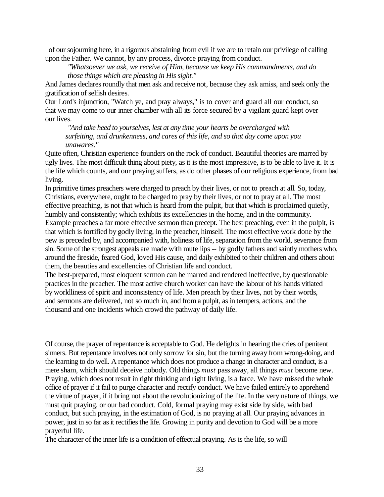of our sojourning here, in a rigorous abstaining from evil if we are to retain our privilege of calling upon the Father. We cannot, by any process, divorce praying from conduct.

*"Whatsoever we ask, we receive of Him, because we keep His commandments, and do those things which are pleasing in His sight."*

And James declares roundly that men ask and receive not, because they ask amiss, and seek only the gratification of selfish desires.

Our Lord's injunction, "Watch ye, and pray always," is to cover and guard all our conduct, so that we may come to our inner chamber with all its force secured by a vigilant guard kept over our lives.

*"And take heed to yourselves, lest at any time your hearts be overcharged with surfeiting, and drunkenness, and cares of this life, and so that day come upon you unawares."*

Quite often, Christian experience founders on the rock of conduct. Beautiful theories are marred by ugly lives. The most difficult thing about piety, as it is the most impressive, is to be able to live it. It is the life which counts, and our praying suffers, as do other phases of our religious experience, from bad living.

In primitive times preachers were charged to preach by their lives, or not to preach at all. So, today, Christians, everywhere, ought to be charged to pray by their lives, or not to pray at all. The most effective preaching, is not that which is heard from the pulpit, but that which is proclaimed quietly, humbly and consistently; which exhibits its excellencies in the home, and in the community. Example preaches a far more effective sermon than precept. The best preaching, even in the pulpit, is that which is fortified by godly living, in the preacher, himself. The most effective work done by the pew is preceded by, and accompanied with, holiness of life, separation from the world, severance from sin. Some of the strongest appeals are made with mute lips -- by godly fathers and saintly mothers who, around the fireside, feared God, loved His cause, and daily exhibited to their children and others about them, the beauties and excellencies of Christian life and conduct.

The best-prepared, most eloquent sermon can be marred and rendered ineffective, by questionable practices in the preacher. The most active church worker can have the labour of his hands vitiated by worldliness of spirit and inconsistency of life. Men preach by their lives, not by their words, and sermons are delivered, not so much in, and from a pulpit, as in tempers, actions, and the thousand and one incidents which crowd the pathway of daily life.

Of course, the prayer of repentance is acceptable to God. He delights in hearing the cries of penitent sinners. But repentance involves not only sorrow for sin, but the turning away from wrong-doing, and the learning to do well. A repentance which does not produce a change in character and conduct, is a mere sham, which should deceive nobody. Old things *must* pass away, all things *must* become new. Praying, which does not result in right thinking and right living, is a farce. We have missed the whole office of prayer if it fail to purge character and rectify conduct. We have failed entirely to apprehend the virtue of prayer, if it bring not about the revolutionizing of the life. In the very nature of things, we must quit praying, or our bad conduct. Cold, formal praying may exist side by side, with bad conduct, but such praying, in the estimation of God, is no praying at all. Our praying advances in power, just in so far as it rectifies the life. Growing in purity and devotion to God will be a more prayerful life.

The character of the inner life is a condition of effectual praying. As is the life, so will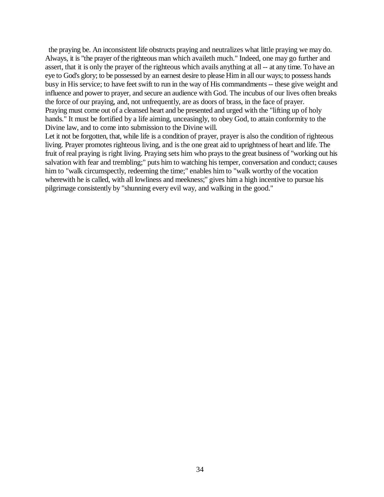the praying be. An inconsistent life obstructs praying and neutralizes what little praying we may do. Always, it is "the prayer of the righteous man which availeth much." Indeed, one may go further and assert, that it is only the prayer of the righteous which avails anything at all -- at any time. To have an eye to God's glory; to be possessed by an earnest desire to please Him in all our ways; to possess hands busy in His service; to have feet swift to run in the way of His commandments -- these give weight and influence and power to prayer, and secure an audience with God. The incubus of our lives often breaks the force of our praying, and, not unfrequently, are as doors of brass, in the face of prayer. Praying must come out of a cleansed heart and be presented and urged with the "lifting up of holy hands." It must be fortified by a life aiming, unceasingly, to obey God, to attain conformity to the Divine law, and to come into submission to the Divine will.

Let it not be forgotten, that, while life is a condition of prayer, prayer is also the condition of righteous living. Prayer promotes righteous living, and is the one great aid to uprightness of heart and life. The fruit of real praying is right living. Praying sets him who prays to the great business of "working out his salvation with fear and trembling;" puts him to watching his temper, conversation and conduct; causes him to "walk circumspectly, redeeming the time;" enables him to "walk worthy of the vocation wherewith he is called, with all lowliness and meekness;" gives him a high incentive to pursue his pilgrimage consistently by "shunning every evil way, and walking in the good."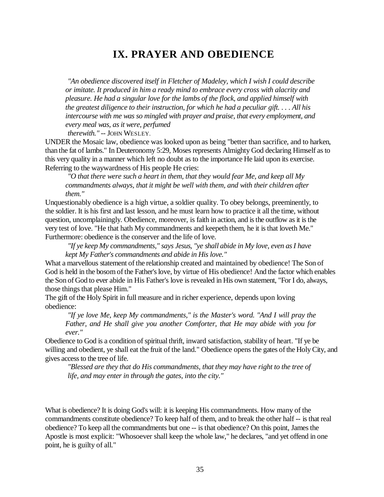### **IX. PRAYER AND OBEDIENCE**

*"An obedience discovered itself in Fletcher of Madeley, which I wish I could describe or imitate. It produced in him a ready mind to embrace every cross with alacrity and pleasure. He had a singular love for the lambs of the flock, and applied himself with the greatest diligence to their instruction, for which he had a peculiar gift. . . . All his intercourse with me was so mingled with prayer and praise, that every employment, and every meal was, as it were, perfumed*

*therewith." --* JOHN WESLEY.

UNDER the Mosaic law, obedience was looked upon as being "better than sacrifice, and to harken, than the fat of lambs." In Deuteronomy 5:29, Moses represents Almighty God declaring Himself as to this very quality in a manner which left no doubt as to the importance He laid upon its exercise. Referring to the waywardness of His people He cries:

*"O that there were such a heart in them, that they would fear Me, and keep all My commandments always, that it might be well with them, and with their children after them."*

Unquestionably obedience is a high virtue, a soldier quality. To obey belongs, preeminently, to the soldier. It is his first and last lesson, and he must learn how to practice it all the time, without question, uncomplainingly. Obedience, moreover, is faith in action, and is the outflow as it is the very test of love. "He that hath My commandments and keepeth them, he it is that loveth Me." Furthermore: obedience is the conserver and the life of love.

*"If ye keep My commandments," says Jesus, "ye shall abide in My love, even as I have kept My Father's commandments and abide in His love."*

What a marvellous statement of the relationship created and maintained by obedience! The Son of God is held in the bosom of the Father's love, by virtue of His obedience! And the factor which enables the Son of God to ever abide in His Father's love is revealed in His own statement, "For I do, always, those things that please Him."

The gift of the Holy Spirit in full measure and in richer experience, depends upon loving obedience:

*"If ye love Me, keep My commandments," is the Master's word. "And I will pray the Father, and He shall give you another Comforter, that He may abide with you for ever."*

Obedience to God is a condition of spiritual thrift, inward satisfaction, stability of heart. "If ye be willing and obedient, ye shall eat the fruit of the land." Obedience opens the gates of the Holy City, and gives access to the tree of life.

*"Blessed are they that do His commandments, that they may have right to the tree of life, and may enter in through the gates, into the city."*

What is obedience? It is doing God's will: it is keeping His commandments. How many of the commandments constitute obedience? To keep half of them, and to break the other half -- is that real obedience? To keep all the commandments but one -- is that obedience? On this point, James the Apostle is most explicit: "Whosoever shall keep the whole law," he declares, "and yet offend in one point, he is guilty of all."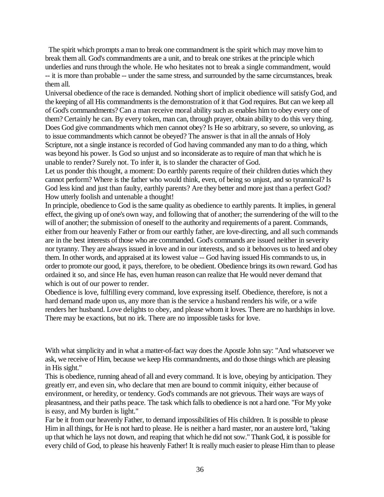The spirit which prompts a man to break one commandment is the spirit which may move him to break them all. God's commandments are a unit, and to break one strikes at the principle which underlies and runs through the whole. He who hesitates not to break a single commandment, would -- it is more than probable -- under the same stress, and surrounded by the same circumstances, break them all.

Universal obedience of the race is demanded. Nothing short of implicit obedience will satisfy God, and the keeping of all His commandments is the demonstration of it that God requires. But can we keep all of God's commandments? Can a man receive moral ability such as enables him to obey every one of them? Certainly he can. By every token, man can, through prayer, obtain ability to do this very thing. Does God give commandments which men cannot obey? Is He so arbitrary, so severe, so unloving, as to issue commandments which cannot be obeyed? The answer is that in all the annals of Holy Scripture, not a single instance is recorded of God having commanded any man to do a thing, which was beyond his power. Is God so unjust and so inconsiderate as to require of man that which he is unable to render? Surely not. To infer it, is to slander the character of God.

Let us ponder this thought, a moment: Do earthly parents require of their children duties which they cannot perform? Where is the father who would think, even, of being so unjust, and so tyrannical? Is God less kind and just than faulty, earthly parents? Are they better and more just than a perfect God? How utterly foolish and untenable a thought!

In principle, obedience to God is the same quality as obedience to earthly parents. It implies, in general effect, the giving up of one's own way, and following that of another; the surrendering of the will to the will of another; the submission of oneself to the authority and requirements of a parent. Commands, either from our heavenly Father or from our earthly father, are love-directing, and all such commands are in the best interests of those who are commanded. God's commands are issued neither in severity nor tyranny. They are always issued in love and in our interests, and so it behooves us to heed and obey them. In other words, and appraised at its lowest value -- God having issued His commands to us, in order to promote our good, it pays, therefore, to be obedient. Obedience brings its own reward. God has ordained it so, and since He has, even human reason can realize that He would never demand that which is out of our power to render.

Obedience is love, fulfilling every command, love expressing itself. Obedience, therefore, is not a hard demand made upon us, any more than is the service a husband renders his wife, or a wife renders her husband. Love delights to obey, and please whom it loves. There are no hardships in love. There may be exactions, but no irk. There are no impossible tasks for love.

With what simplicity and in what a matter-of-fact way does the Apostle John say: "And whatsoever we ask, we receive of Him, because we keep His commandments, and do those things which are pleasing in His sight."

This is obedience, running ahead of all and every command. It is love, obeying by anticipation. They greatly err, and even sin, who declare that men are bound to commit iniquity, either because of environment, or heredity, or tendency. God's commands are not grievous. Their ways are ways of pleasantness, and their paths peace. The task which falls to obedience is not a hard one. "For My yoke is easy, and My burden is light."

Far be it from our heavenly Father, to demand impossibilities of His children. It is possible to please Him in all things, for He is not hard to please. He is neither a hard master, nor an austere lord, "taking up that which he lays not down, and reaping that which he did not sow." Thank God, it is possible for every child of God, to please his heavenly Father! It is really much easier to please Him than to please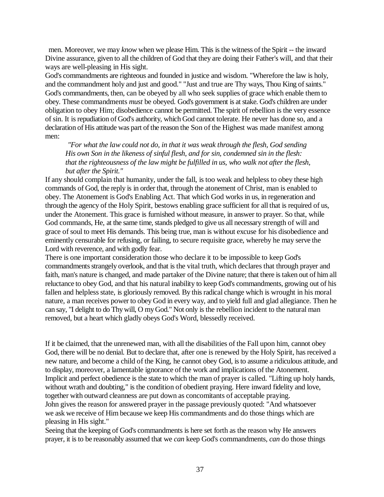men. Moreover, we may *know* when we please Him. This is the witness of the Spirit -- the inward Divine assurance, given to all the children of God that they are doing their Father's will, and that their ways are well-pleasing in His sight.

God's commandments are righteous and founded in justice and wisdom. "Wherefore the law is holy, and the commandment holy and just and good." "Just and true are Thy ways, Thou King of saints." God's commandments, then, can be obeyed by all who seek supplies of grace which enable them to obey. These commandments *must* be obeyed. God's government is at stake. God's children are under obligation to obey Him; disobedience cannot be permitted. The spirit of rebellion is the very essence of sin. It is repudiation of God's authority, which God cannot tolerate. He never has done so, and a declaration of His attitude was part of the reason the Son of the Highest was made manifest among men:

*"For what the law could not do, in that it was weak through the flesh, God sending His own Son in the likeness of sinful flesh, and for sin, condemned sin in the flesh: that the righteousness of the law might be fulfilled in us, who walk not after the flesh, but after the Spirit."*

If any should complain that humanity, under the fall, is too weak and helpless to obey these high commands of God, the reply is in order that, through the atonement of Christ, man is enabled to obey. The Atonement is God's Enabling Act. That which God works in us, in regeneration and through the agency of the Holy Spirit, bestows enabling grace sufficient for all that is required of us, under the Atonement. This grace is furnished without measure, in answer to prayer. So that, while God commands, He, at the same time, stands pledged to give us all necessary strength of will and grace of soul to meet His demands. This being true, man is without excuse for his disobedience and eminently censurable for refusing, or failing, to secure requisite grace, whereby he may serve the Lord with reverence, and with godly fear.

There is one important consideration those who declare it to be impossible to keep God's commandments strangely overlook, and that is the vital truth, which declares that through prayer and faith, man's nature is changed, and made partaker of the Divine nature; that there is taken out of him all reluctance to obey God, and that his natural inability to keep God's commandments, growing out of his fallen and helpless state, is gloriously removed. By this radical change which is wrought in his moral nature, a man receives power to obey God in every way, and to yield full and glad allegiance. Then he can say, "I delight to do Thy will, O my God." Not only is the rebellion incident to the natural man removed, but a heart which gladly obeys God's Word, blessedly received.

If it be claimed, that the unrenewed man, with all the disabilities of the Fall upon him, cannot obey God, there will be no denial. But to declare that, after one is renewed by the Holy Spirit, has received a new nature, and become a child of the King, he cannot obey God, is to assume a ridiculous attitude, and to display, moreover, a lamentable ignorance of the work and implications of the Atonement. Implicit and perfect obedience is the state to which the man of prayer is called. "Lifting up holy hands, without wrath and doubting," is the condition of obedient praying. Here inward fidelity and love, together with outward cleanness are put down as concomitants of acceptable praying. John gives the reason for answered prayer in the passage previously quoted: "And whatsoever we ask we receive of Him because we keep His commandments and do those things which are

pleasing in His sight."

Seeing that the keeping of God's commandments is here set forth as the reason why He answers prayer, it is to be reasonably assumed that we *can* keep God's commandments, *can* do those things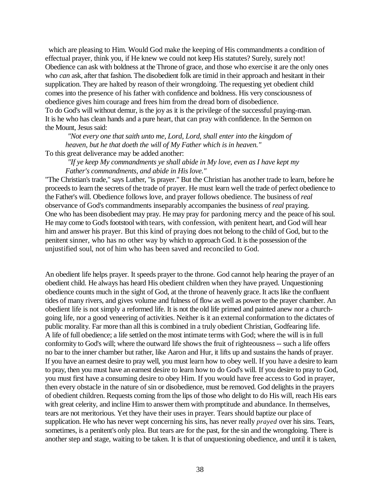which are pleasing to Him. Would God make the keeping of His commandments a condition of effectual prayer, think you, if He knew we could not keep His statutes? Surely, surely not! Obedience can ask with boldness at the Throne of grace, and those who exercise it are the only ones who *can* ask, after that fashion. The disobedient folk are timid in their approach and hesitant in their supplication. They are halted by reason of their wrongdoing. The requesting yet obedient child comes into the presence of his father with confidence and boldness. His very consciousness of obedience gives him courage and frees him from the dread born of disobedience. To do God's will without demur, is the joy as it is the privilege of the successful praying-man. It is he who has clean hands and a pure heart, that can pray with confidence. In the Sermon on the Mount, Jesus said:

*"Not every one that saith unto me, Lord, Lord, shall enter into the kingdom of heaven, but he that doeth the will of My Father which is in heaven."*

To this great deliverance may be added another:

*"If ye keep My commandments ye shall abide in My love, even as I have kept my Father's commandments, and abide in His love."*

"The Christian's trade," says Luther, "is prayer." But the Christian has another trade to learn, before he proceeds to learn the secrets of the trade of prayer. He must learn well the trade of perfect obedience to the Father's will. Obedience follows love, and prayer follows obedience. The business of*real* observance of God's commandments inseparably accompanies the business of *real* praying. One who has been disobedient may pray. He may pray for pardoning mercy and the peace of his soul. He may come to God's footstool with tears, with confession, with penitent heart, and God will hear him and answer his prayer. But this kind of praying does not belong to the child of God, but to the penitent sinner, who has no other way by which to approach God. It is the possession of the unjustified soul, not of him who has been saved and reconciled to God.

An obedient life helps prayer. It speeds prayer to the throne. God cannot help hearing the prayer of an obedient child. He always has heard His obedient children when they have prayed. Unquestioning obedience counts much in the sight of God, at the throne of heavenly grace. It acts like the confluent tides of many rivers, and gives volume and fulness of flow as well as power to the prayer chamber. An obedient life is not simply a reformed life. It is not the old life primed and painted anew nor a churchgoing life, nor a good veneering of activities. Neither is it an external conformation to the dictates of public morality. Far more than all this is combined in a truly obedient Christian, Godfearing life. A life of full obedience; a life settled on the most intimate terms with God; where the will is in full conformity to God's will; where the outward life shows the fruit of righteousness -- such a life offers no bar to the inner chamber but rather, like Aaron and Hur, it lifts up and sustains the hands of prayer. If you have an earnest desire to pray well, you must learn how to obey well. If you have a desire to learn to pray, then you must have an earnest desire to learn how to do God's will. If you desire to pray to God, you must first have a consuming desire to obey Him. If you would have free access to God in prayer, then every obstacle in the nature of sin or disobedience, must be removed. God delights in the prayers of obedient children. Requests coming from the lips of those who delight to do His will, reach His ears with great celerity, and incline Him to answer them with promptitude and abundance. In themselves, tears are not meritorious. Yet they have their uses in prayer. Tears should baptize our place of supplication. He who has never wept concerning his sins, has never really *prayed* over his sins. Tears, sometimes, is a penitent's only plea. But tears are for the past, for the sin and the wrongdoing. There is another step and stage, waiting to be taken. It is that of unquestioning obedience, and until it is taken,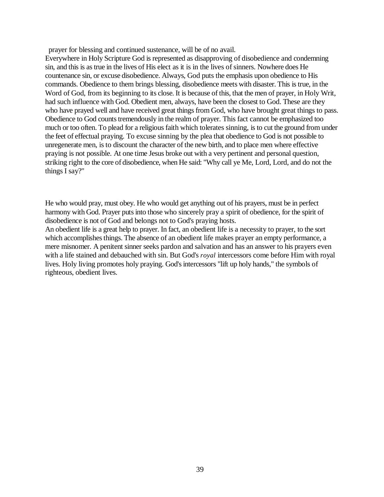prayer for blessing and continued sustenance, will be of no avail.

Everywhere in Holy Scripture God is represented as disapproving of disobedience and condemning sin, and this is as true in the lives of His elect as it is in the lives of sinners. Nowhere does He countenance sin, or excuse disobedience. Always, God puts the emphasis upon obedience to His commands. Obedience to them brings blessing, disobedience meets with disaster. This is true, in the Word of God, from its beginning to its close. It is because of this, that the men of prayer, in Holy Writ, had such influence with God. Obedient men, always, have been the closest to God. These are they who have prayed well and have received great things from God, who have brought great things to pass. Obedience to God counts tremendously in the realm of prayer. This fact cannot be emphasized too much or too often. To plead for a religious faith which tolerates sinning, is to cut the ground from under the feet of effectual praying. To excuse sinning by the plea that obedience to God is not possible to unregenerate men, is to discount the character of the new birth, and to place men where effective praying is not possible. At one time Jesus broke out with a very pertinent and personal question, striking right to the core of disobedience, when He said: "Why call ye Me, Lord, Lord, and do not the things I say?"

He who would pray, must obey. He who would get anything out of his prayers, must be in perfect harmony with God. Prayer puts into those who sincerely pray a spirit of obedience, for the spirit of disobedience is not of God and belongs not to God's praying hosts.

An obedient life is a great help to prayer. In fact, an obedient life is a necessity to prayer, to the sort which accomplishes things. The absence of an obedient life makes prayer an empty performance, a mere misnomer. A penitent sinner seeks pardon and salvation and has an answer to his prayers even with a life stained and debauched with sin. But God's *royal* intercessors come before Him with royal lives. Holy living promotes holy praying. God's intercessors "lift up holy hands," the symbols of righteous, obedient lives.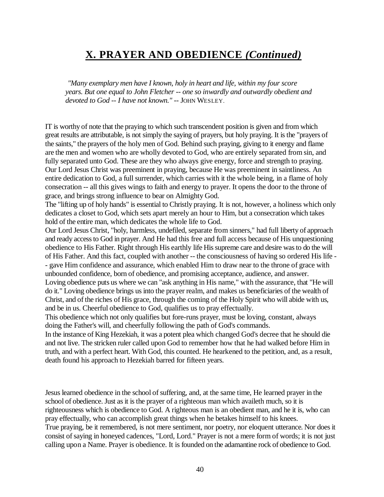# **X. PRAYER AND OBEDIENCE** *(Continued)*

*"Many exemplary men have I known, holy in heart and life, within my four score years. But one equal to John Fletcher -- one so inwardly and outwardly obedient and devoted to God -- I have not known." --* JOHN WESLEY.

IT is worthy of note that the praying to which such transcendent position is given and from which great results are attributable, is not simply the saying of prayers, but holy praying. It is the "prayers of the saints," the prayers of the holy men of God. Behind such praying, giving to it energy and flame are the men and women who are wholly devoted to God, who are entirely separated from sin, and fully separated unto God. These are they who always give energy, force and strength to praying. Our Lord Jesus Christ was preeminent in praying, because He was preeminent in saintliness. An entire dedication to God, a full surrender, which carries with it the whole being, in a flame of holy consecration -- all this gives wings to faith and energy to prayer. It opens the door to the throne of grace, and brings strong influence to bear on Almighty God.

The "lifting up of holy hands" is essential to Christly praying. It is not, however, a holiness which only dedicates a closet to God, which sets apart merely an hour to Him, but a consecration which takes hold of the entire man, which dedicates the whole life to God.

Our Lord Jesus Christ, "holy, harmless, undefiled, separate from sinners," had full liberty of approach and ready access to God in prayer. And He had this free and full access because of His unquestioning obedience to His Father. Right through His earthly life His supreme care and desire was to do the will of His Father. And this fact, coupled with another -- the consciousness of having so ordered His life - - gave Him confidence and assurance, which enabled Him to draw near to the throne of grace with unbounded confidence, born of obedience, and promising acceptance, audience, and answer. Loving obedience puts us where we can "ask anything in His name," with the assurance, that "He will do it." Loving obedience brings us into the prayer realm, and makes us beneficiaries of the wealth of Christ, and of the riches of His grace, through the coming of the Holy Spirit who will abide with us,

and be in us. Cheerful obedience to God, qualifies us to pray effectually.

This obedience which not only qualifies but fore-runs prayer, must be loving, constant, always doing the Father's will, and cheerfully following the path of God's commands.

In the instance of King Hezekiah, it was a potent plea which changed God's decree that he should die and not live. The stricken ruler called upon God to remember how that he had walked before Him in truth, and with a perfect heart. With God, this counted. He hearkened to the petition, and, as a result, death found his approach to Hezekiah barred for fifteen years.

Jesus learned obedience in the school of suffering, and, at the same time, He learned prayer in the school of obedience. Just as it is the prayer of a righteous man which availeth much, so it is righteousness which is obedience to God. A righteous man is an obedient man, and he it is, who can pray effectually, who can accomplish great things when he betakes himself to his knees. True praying, be it remembered, is not mere sentiment, nor poetry, nor eloquent utterance. Nor does it consist of saying in honeyed cadences, "Lord, Lord." Prayer is not a mere form of words; it is not just calling upon a Name. Prayer is obedience. It is founded on the adamantine rock of obedience to God.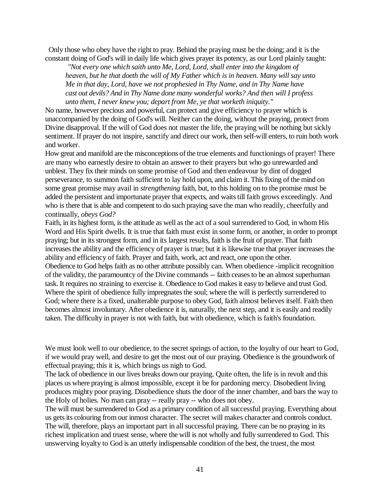Only those who obey have the right to pray. Behind the praying must be the doing; and it is the constant doing of God's will in daily life which gives prayer its potency, as our Lord plainly taught:

*"Not every one which saith unto Me, Lord, Lord, shall enter into the kingdom of heaven, but he that doeth the will of My Father which is in heaven. Many will say unto Me in that day, Lord, have we not prophesied in Thy Name, and in Thy Name have cast out devils? And in Thy Name done many wonderful works? And then will I profess unto them, I never knew you; depart from Me, ye that worketh iniquity."*

No name, however precious and powerful, can protect and give efficiency to prayer which is unaccompanied by the doing of God's will. Neither can the doing, without the praying, protect from Divine disapproval. If the will of God does not master the life, the praying will be nothing but sickly sentiment. If prayer do not inspire, sanctify and direct our work, then self-will enters, to ruin both work and worker.

How great and manifold are the misconceptions of the true elements and functionings of prayer! There are many who earnestly desire to obtain an answer to their prayers but who go unrewarded and unblest. They fix their minds on some promise of God and then endeavour by dint of dogged perseverance, to summon faith sufficient to lay hold upon, and claim it. This fixing of the mind on some great promise may avail in *strengthening* faith, but, to this holding on to the promise must be added the persistent and importunate prayer that expects, and waits till faith grows exceedingly. And who is there that is able and competent to do such praying save the man who readily, cheerfully and continually, *obeys God?*

Faith, in its highest form, is the attitude as well as the act of a soul surrendered to God, in whom His Word and His Spirit dwells. It is true that faith must exist in some form, or another, in order to prompt praying; but in its strongest form, and in its largest results, faith is the fruit of prayer. That faith increases the ability and the efficiency of prayer is true; but it is likewise true that prayer increases the ability and efficiency of faith. Prayer and faith, work, act and react, one upon the other. Obedience to God helps faith as no other attribute possibly can. When obedience -implicit recognition

of the validity, the paramountcy of the Divine commands -- faith ceases to be an almost superhuman task. It requires no straining to exercise it. Obedience to God makes it easy to believe and trust God. Where the spirit of obedience fully impregnates the soul; where the will is perfectly surrendered to God; where there is a fixed, unalterable purpose to obey God, faith almost believes itself. Faith then becomes almost involuntary. After obedience it is, naturally, the next step, and it is easily and readily taken. The difficulty in prayer is not with faith, but with obedience, which is faith's foundation.

We must look well to our obedience, to the secret springs of action, to the loyalty of our heart to God, if we would pray well, and desire to get the most out of our praying. Obedience is the groundwork of effectual praying; this it is, which brings us nigh to God.

The lack of obedience in our lives breaks down our praying. Quite often, the life is in revolt and this places us where praying is almost impossible, except it be for pardoning mercy. Disobedient living produces mighty poor praying. Disobedience shuts the door of the inner chamber, and bars the way to the Holy of holies. No man can pray -- really pray -- who does not obey.

The will must be surrendered to God as a primary condition of all successful praying. Everything about us gets its colouring from our inmost character. The secret will makes character and controls conduct. The will, therefore, plays an important part in all successful praying. There can be no praying in its richest implication and truest sense, where the will is not wholly and fully surrendered to God. This unswerving loyalty to God is an utterly indispensable condition of the best, the truest, the most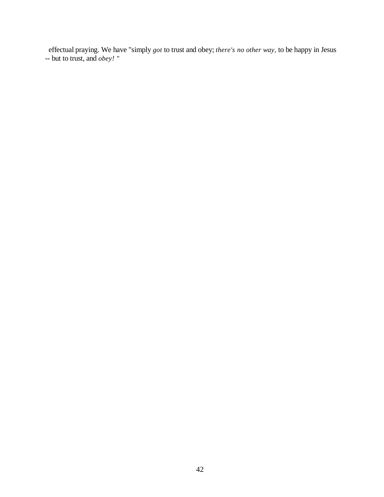effectual praying. We have "simply *got* to trust and obey; *there's no other way,* to be happy in Jesus -- but to trust, and *obey! "*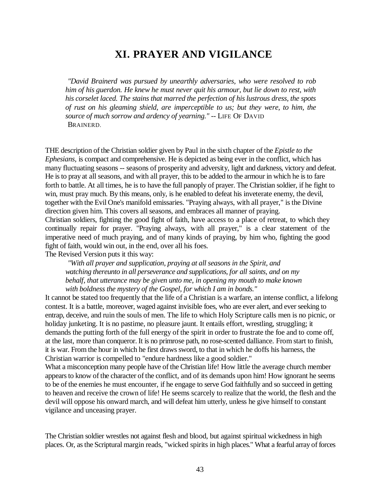### **XI. PRAYER AND VIGILANCE**

*"David Brainerd was pursued by unearthly adversaries, who were resolved to rob him of his guerdon. He knew he must never quit his armour, but lie down to rest, with his corselet laced. The stains that marred the perfection of his lustrous dress, the spots of rust on his gleaming shield, are imperceptible to us; but they were, to him, the source of much sorrow and ardency of yearning." --* LIFE OF DAVID BRAINERD.

THE description of the Christian soldier given by Paul in the sixth chapter of the *Epistle to the Ephesians,* is compact and comprehensive. He is depicted as being ever in the conflict, which has many fluctuating seasons -- seasons of prosperity and adversity, light and darkness, victory and defeat. He is to pray at all seasons, and with all prayer, this to be added to the armour in which he is to fare forth to battle. At all times, he is to have the full panoply of prayer. The Christian soldier, if he fight to win, must pray much. By this means, only, is he enabled to defeat his inveterate enemy, the devil, together with the Evil One's manifold emissaries. "Praying always, with all prayer," is the Divine direction given him. This covers all seasons, and embraces all manner of praying. Christian soldiers, fighting the good fight of faith, have access to a place of retreat, to which they continually repair for prayer. "Praying always, with all prayer," is a clear statement of the imperative need of much praying, and of many kinds of praying, by him who, fighting the good fight of faith, would win out, in the end, over all his foes. The Revised Version puts it this way:

*"With all prayer and supplication, praying at all seasons in the Spirit, and watching thereunto in all perseverance and supplications, for all saints, and on my behalf, that utterance may be given unto me, in opening my mouth to make known with boldness the mystery of the Gospel, for which I am in bonds."*

It cannot be stated too frequently that the life of a Christian is a warfare, an intense conflict, a lifelong contest. It is a battle, moreover, waged against invisible foes, who are ever alert, and ever seeking to entrap, deceive, and ruin the souls of men. The life to which Holy Scripture calls men is no picnic, or holiday junketing. It is no pastime, no pleasure jaunt. It entails effort, wrestling, struggling; it demands the putting forth of the full energy of the spirit in order to frustrate the foe and to come off, at the last, more than conqueror. It is no primrose path, no rose-scented dalliance. From start to finish, it is war. From the hour in which he first draws sword, to that in which he doffs his harness, the Christian warrior is compelled to "endure hardness like a good soldier."

What a misconception many people have of the Christian life! How little the average church member appears to know of the character of the conflict, and of its demands upon him! How ignorant he seems to be of the enemies he must encounter, if he engage to serve God faithfully and so succeed in getting to heaven and receive the crown of life! He seems scarcely to realize that the world, the flesh and the devil will oppose his onward march, and will defeat him utterly, unless he give himself to constant vigilance and unceasing prayer.

The Christian soldier wrestles not against flesh and blood, but against spiritual wickedness in high places. Or, as the Scriptural margin reads, "wicked spirits in high places." What a fearful array of forces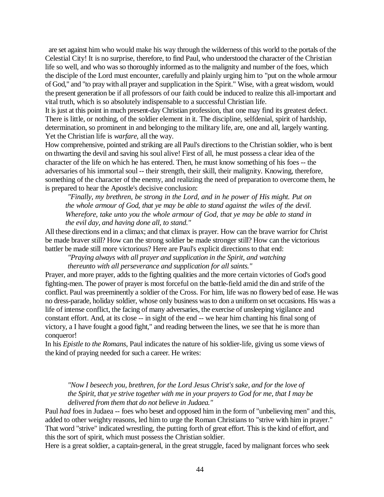are set against him who would make his way through the wilderness of this world to the portals of the Celestial City! It is no surprise, therefore, to find Paul, who understood the character of the Christian life so well, and who was so thoroughly informed as to the malignity and number of the foes, which the disciple of the Lord must encounter, carefully and plainly urging him to "put on the whole armour of God," and "to pray with all prayer and supplication in the Spirit." Wise, with a great wisdom, would the present generation be if all professors of our faith could be induced to realize this all-important and vital truth, which is so absolutely indispensable to a successful Christian life.

It is just at this point in much present-day Christian profession, that one may find its greatest defect. There is little, or nothing, of the soldier element in it. The discipline, selfdenial, spirit of hardship, determination, so prominent in and belonging to the military life, are, one and all, largely wanting. Yet the Christian life is *warfare,* all the way.

How comprehensive, pointed and striking are all Paul's directions to the Christian soldier, who is bent on thwarting the devil and saving his soul alive! First of all, he must possess a clear idea of the character of the life on which he has entered. Then, he must know something of his foes -- the adversaries of his immortal soul -- their strength, their skill, their malignity. Knowing, therefore, something of the character of the enemy, and realizing the need of preparation to overcome them, he is prepared to hear the Apostle's decisive conclusion:

*"Finally, my brethren, be strong in the Lord, and in he power of His might. Put on the whole armour of God, that ye may be able to stand against the wiles of the devil. Wherefore, take unto you the whole armour of God, that ye may be able to stand in the evil day, and having done all, to stand."*

All these directions end in a climax; and that climax is prayer. How can the brave warrior for Christ be made braver still? How can the strong soldier be made stronger still? How can the victorious battler be made still more victorious? Here are Paul's explicit directions to that end:

*"Praying always with all prayer and supplication in the Spirit, and watching thereunto with all perseverance and supplication for all saints."*

Prayer, and more prayer, adds to the fighting qualities and the more certain victories of God's good fighting-men. The power of prayer is most forceful on the battle-field amid the din and strife of the conflict. Paul was preeminently a soldier of the Cross. For him, life was no flowery bed of ease. He was no dress-parade, holiday soldier, whose only business was to don a uniform on set occasions. His was a life of intense conflict, the facing of many adversaries, the exercise of unsleeping vigilance and constant effort. And, at its close -- in sight of the end -- we hear him chanting his final song of victory, a I have fought a good fight," and reading between the lines, we see that he is more than conqueror!

In his *Epistle to the Romans,* Paul indicates the nature of his soldier-life, giving us some views of the kind of praying needed for such a career. He writes:

### *"Now I beseech you, brethren, for the Lord Jesus Christ's sake, and for the love of the Spirit, that ye strive together with me in your prayers to God for me, that I may be delivered from them that do not believe in Judaea."*

Paul *had* foes in Judaea -- foes who beset and opposed him in the form of "unbelieving men" and this, added to other weighty reasons, led him to urge the Roman Christians to "strive with him in prayer." That word "strive" indicated wrestling, the putting forth of great effort. This is the kind of effort, and this the sort of spirit, which must possess the Christian soldier.

Here is a great soldier, a captain-general, in the great struggle, faced by malignant forces who seek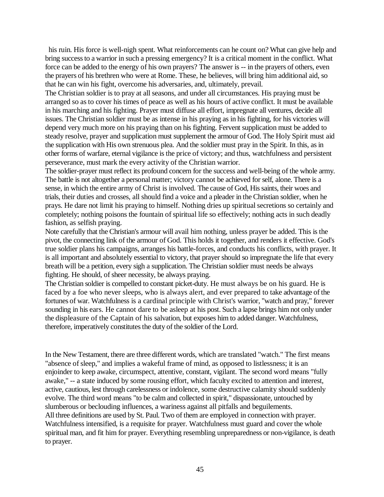his ruin. His force is well-nigh spent. What reinforcements can he count on? What can give help and bring success to a warrior in such a pressing emergency? It is a critical moment in the conflict. What force can be added to the energy of his own prayers? The answer is -- in the prayers of others, even the prayers of his brethren who were at Rome. These, he believes, will bring him additional aid, so that he can win his fight, overcome his adversaries, and, ultimately, prevail.

The Christian soldier is to pray at all seasons, and under all circumstances. His praying must be arranged so as to cover his times of peace as well as his hours of active conflict. It must be available in his marching and his fighting. Prayer must diffuse all effort, impregnate all ventures, decide all issues. The Christian soldier must be as intense in his praying as in his fighting, for his victories will depend very much more on his praying than on his fighting. Fervent supplication must be added to steady resolve, prayer and supplication must supplement the armour of God. The Holy Spirit must aid the supplication with His own strenuous plea. And the soldier must pray in the Spirit. In this, as in other forms of warfare, eternal vigilance is the price of victory; and thus, watchfulness and persistent perseverance, must mark the every activity of the Christian warrior.

The soldier-prayer must reflect its profound concern for the success and well-being of the whole army. The battle is not altogether a personal matter; victory cannot be achieved for self, alone. There is a sense, in which the entire army of Christ is involved. The cause of God, His saints, their woes and trials, their duties and crosses, all should find a voice and a pleader in the Christian soldier, when he prays. He dare not limit his praying to himself. Nothing dries up spiritual secretions so certainly and completely; nothing poisons the fountain of spiritual life so effectively; nothing acts in such deadly fashion, as selfish praying.

Note carefully that the Christian's armour will avail him nothing, unless prayer be added. This is the pivot, the connecting link of the armour of God. This holds it together, and renders it effective. God's true soldier plans his campaigns, arranges his battle-forces, and conducts his conflicts, with prayer. It is all important and absolutely essential to victory, that prayer should so impregnate the life that every breath will be a petition, every sigh a supplication. The Christian soldier must needs be always fighting. He should, of sheer necessity, be always praying.

The Christian soldier is compelled to constant picket-duty. He must always be on his guard. He is faced by a foe who never sleeps, who is always alert, and ever prepared to take advantage of the fortunes of war. Watchfulness is a cardinal principle with Christ's warrior, "watch and pray," forever sounding in his ears. He cannot dare to be asleep at his post. Such a lapse brings him not only under the displeasure of the Captain of his salvation, but exposes him to added danger. Watchfulness, therefore, imperatively constitutes the duty of the soldier of the Lord.

In the New Testament, there are three different words, which are translated "watch." The first means "absence of sleep," and implies a wakeful frame of mind, as opposed to listlessness; it is an enjoinder to keep awake, circumspect, attentive, constant, vigilant. The second word means "fully awake," -- a state induced by some rousing effort, which faculty excited to attention and interest, active, cautious, lest through carelessness or indolence, some destructive calamity should suddenly evolve. The third word means "to be calm and collected in spirit," dispassionate, untouched by slumberous or beclouding influences, a wariness against all pitfalls and beguilements. All three definitions are used by St. Paul. Two of them are employed in connection with prayer. Watchfulness intensified, is a requisite for prayer. Watchfulness must guard and cover the whole spiritual man, and fit him for prayer. Everything resembling unpreparedness or non-vigilance, is death to prayer.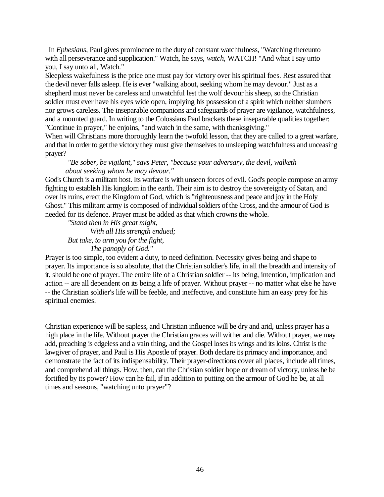In *Ephesians,* Paul gives prominence to the duty of constant watchfulness, "Watching thereunto with all perseverance and supplication." Watch, he says, *watch,* WATCH! "And what I say unto you, I say unto all, Watch."

Sleepless wakefulness is the price one must pay for victory over his spiritual foes. Rest assured that the devil never falls asleep. He is ever "walking about, seeking whom he may devour." Just as a shepherd must never be careless and unwatchful lest the wolf devour his sheep, so the Christian soldier must ever have his eyes wide open, implying his possession of a spirit which neither slumbers nor grows careless. The inseparable companions and safeguards of prayer are vigilance, watchfulness, and a mounted guard. In writing to the Colossians Paul brackets these inseparable qualities together: "Continue in prayer," he enjoins, "and watch in the same, with thanksgiving."

When will Christians more thoroughly learn the twofold lesson, that they are called to a great warfare, and that in order to get the victory they must give themselves to unsleeping watchfulness and unceasing prayer?

#### *"Be sober, be vigilant," says Peter, "because your adversary, the devil, walketh about seeking whom he may devour."*

God's Church is a militant host. Its warfare is with unseen forces of evil. God's people compose an army fighting to establish His kingdom in the earth. Their aim is to destroy the sovereignty of Satan, and over its ruins, erect the Kingdom of God, which is "righteousness and peace and joy in the Holy Ghost." This militant army is composed of individual soldiers of the Cross, and the armour of God is needed for its defence. Prayer must be added as that which crowns the whole.

*"Stand then in His great might, With all His strength endued; But take, to arm you for the fight, The panoply of God."*

Prayer is too simple, too evident a duty, to need definition. Necessity gives being and shape to prayer. Its importance is so absolute, that the Christian soldier's life, in all the breadth and intensity of it, should be one of prayer. The entire life of a Christian soldier -- its being, intention, implication and action -- are all dependent on its being a life of prayer. Without prayer -- no matter what else he have -- the Christian soldier's life will be feeble, and ineffective, and constitute him an easy prey for his spiritual enemies.

Christian experience will be sapless, and Christian influence will be dry and arid, unless prayer has a high place in the life. Without prayer the Christian graces will wither and die. Without prayer, we may add, preaching is edgeless and a vain thing, and the Gospel loses its wings and its loins. Christ is the lawgiver of prayer, and Paul is His Apostle of prayer. Both declare its primacy and importance, and demonstrate the fact of its indispensability. Their prayer-directions cover all places, include all times, and comprehend all things. How, then, can the Christian soldier hope or dream of victory, unless he be fortified by its power? How can he fail, if in addition to putting on the armour of God he be, at all times and seasons, "watching unto prayer"?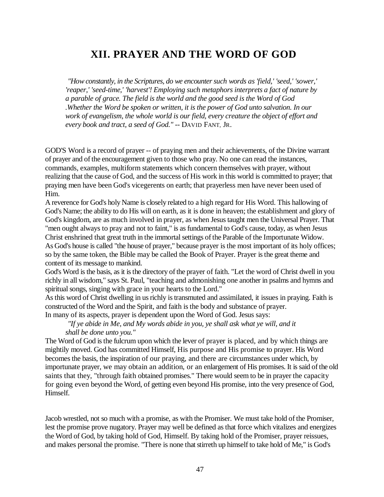# **XII. PRAYER AND THE WORD OF GOD**

*"How constantly, in the Scriptures, do we encounter such words as 'field,' 'seed,' 'sower,' 'reaper,' 'seed-time,' 'harvest'! Employing such metaphors interprets a fact of nature by a parable of grace. The field is the world and the good seed is the Word of God .Whether the Word be spoken or written, it is the power of God unto salvation. In our work of evangelism, the whole world is our field, every creature the object of effort and every book and tract, a seed of God." --* DAVID FANT, JR.

GOD'S Word is a record of prayer -- of praying men and their achievements, of the Divine warrant of prayer and of the encouragement given to those who pray. No one can read the instances, commands, examples, multiform statements which concern themselves with prayer, without realizing that the cause of God, and the success of His work in this world is committed to prayer; that praying men have been God's vicegerents on earth; that prayerless men have never been used of Him.

A reverence for God's holy Name is closely related to a high regard for His Word. This hallowing of God's Name; the ability to do His will on earth, as it is done in heaven; the establishment and glory of God's kingdom, are as much involved in prayer, as when Jesus taught men the Universal Prayer. That "men ought always to pray and not to faint," is as fundamental to God's cause, today, as when Jesus Christ enshrined that great truth in the immortal settings of the Parable of the Importunate Widow. As God's house is called "the house of prayer," because prayer is the most important of its holy offices; so by the same token, the Bible may be called the Book of Prayer. Prayer is the great theme and content of its message to mankind.

God's Word is the basis, as it is the directory of the prayer of faith. "Let the word of Christ dwell in you richly in all wisdom," says St. Paul, "teaching and admonishing one another in psalms and hymns and spiritual songs, singing with grace in your hearts to the Lord."

As this word of Christ dwelling in us richly is transmuted and assimilated, it issues in praying. Faith is constructed of the Word and the Spirit, and faith is the body and substance of prayer. In many of its aspects, prayer is dependent upon the Word of God. Jesus says:

*"If ye abide in Me, and My words abide in you, ye shall ask what ye will, and it shall be done unto you."*

The Word of God is the fulcrum upon which the lever of prayer is placed, and by which things are mightily moved. God has committed Himself, His purpose and His promise to prayer. His Word becomes the basis, the inspiration of our praying, and there are circumstances under which, by importunate prayer, we may obtain an addition, or an enlargement of His promises. It is said of the old saints that they, "through faith obtained promises." There would seem to be in prayer the capacity for going even beyond the Word, of getting even beyond His promise, into the very presence of God, Himself.

Jacob wrestled, not so much with a promise, as with the Promiser. We must take hold of the Promiser, lest the promise prove nugatory. Prayer may well be defined as that force which vitalizes and energizes the Word of God, by taking hold of God, Himself. By taking hold of the Promiser, prayer reissues, and makes personal the promise. "There is none that stirreth up himself to take hold of Me," is God's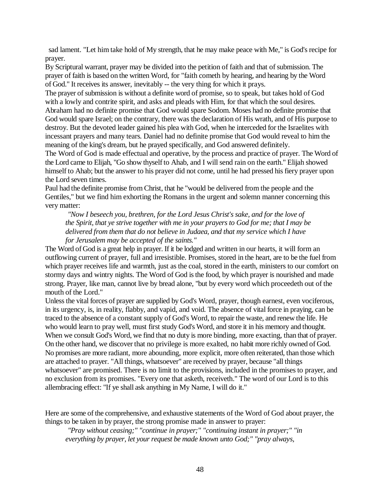sad lament. "Let him take hold of My strength, that he may make peace with Me," is God's recipe for prayer.

By Scriptural warrant, prayer may be divided into the petition of faith and that of submission. The prayer of faith is based on the written Word, for "faith cometh by hearing, and hearing by the Word of God." It receives its answer, inevitably -- the very thing for which it prays.

The prayer of submission is without a definite word of promise, so to speak, but takes hold of God with a lowly and contrite spirit, and asks and pleads with Him, for that which the soul desires. Abraham had no definite promise that God would spare Sodom. Moses had no definite promise that God would spare Israel; on the contrary, there was the declaration of His wrath, and of His purpose to destroy. But the devoted leader gained his plea with God, when he interceded for the Israelites with incessant prayers and many tears. Daniel had no definite promise that God would reveal to him the meaning of the king's dream, but he prayed specifically, and God answered definitely.

The Word of God is made effectual and operative, by the process and practice of prayer. The Word of the Lord came to Elijah, "Go show thyself to Ahab, and I will send rain on the earth." Elijah showed himself to Ahab; but the answer to his prayer did not come, until he had pressed his fiery prayer upon the Lord seven times.

Paul had the definite promise from Christ, that he "would be delivered from the people and the Gentiles," but we find him exhorting the Romans in the urgent and solemn manner concerning this very matter:

*"Now I beseech you, brethren, for the Lord Jesus Christ's sake, and for the love of the Spirit, that ye strive together with me in your prayers to God for me; that I may be delivered from them that do not believe in Judaea, and that my service which I have for Jerusalem may be accepted of the saints."*

The Word of God is a great help in prayer. If it be lodged and written in our hearts, it will form an outflowing current of prayer, full and irresistible. Promises, stored in the heart, are to be the fuel from which prayer receives life and warmth, just as the coal, stored in the earth, ministers to our comfort on stormy days and wintry nights. The Word of God is the food, by which prayer is nourished and made strong. Prayer, like man, cannot live by bread alone, "but by every word which proceedeth out of the mouth of the Lord."

Unless the vital forces of prayer are supplied by God's Word, prayer, though earnest, even vociferous, in its urgency, is, in reality, flabby, and vapid, and void. The absence of vital force in praying, can be traced to the absence of a constant supply of God's Word, to repair the waste, and renew the life. He who would learn to pray well, must first study God's Word, and store it in his memory and thought. When we consult God's Word, we find that no duty is more binding, more exacting, than that of prayer. On the other hand, we discover that no privilege is more exalted, no habit more richly owned of God. No promises are more radiant, more abounding, more explicit, more often reiterated, than those which are attached to prayer. "All things, whatsoever" are received by prayer, because "all things whatsoever" are promised. There is no limit to the provisions, included in the promises to prayer, and no exclusion from its promises. "Every one that asketh, receiveth." The word of our Lord is to this allembracing effect: "If ye shall ask anything in My Name, I will do it."

Here are some of the comprehensive, and exhaustive statements of the Word of God about prayer, the things to be taken in by prayer, the strong promise made in answer to prayer:

*"Pray without ceasing;" "continue in prayer;" "continuing instant in prayer;" "in everything by prayer, let your request be made known unto God;" "pray always,*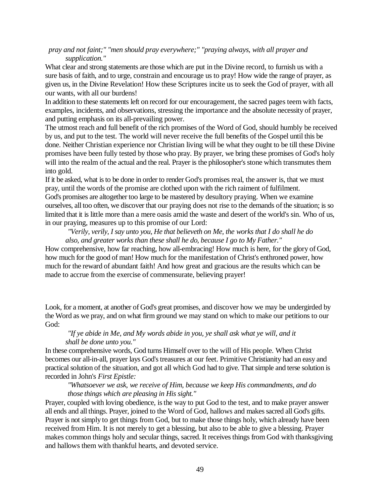### *pray and not faint;" "men should pray everywhere;" "praying always, with all prayer and supplication."*

What clear and strong statements are those which are put in the Divine record, to furnish us with a sure basis of faith, and to urge, constrain and encourage us to pray! How wide the range of prayer, as given us, in the Divine Revelation! How these Scriptures incite us to seek the God of prayer, with all our wants, with all our burdens!

In addition to these statements left on record for our encouragement, the sacred pages teem with facts, examples, incidents, and observations, stressing the importance and the absolute necessity of prayer, and putting emphasis on its all-prevailing power.

The utmost reach and full benefit of the rich promises of the Word of God, should humbly be received by us, and put to the test. The world will never receive the full benefits of the Gospel until this be done. Neither Christian experience nor Christian living will be what they ought to be till these Divine promises have been fully tested by those who pray. By prayer, we bring these promises of God's holy will into the realm of the actual and the real. Prayer is the philosopher's stone which transmutes them into gold.

If it be asked, what is to be done in order to render God's promises real, the answer is, that we must pray, until the words of the promise are clothed upon with the rich raiment of fulfilment.

God's promises are altogether too large to be mastered by desultory praying. When we examine ourselves, all too often, we discover that our praying does not rise to the demands of the situation; is so limited that it is little more than a mere oasis amid the waste and desert of the world's sin. Who of us, in our praying, measures up to this promise of our Lord:

### *"Verily, verily, I say unto you, He that believeth on Me, the works that I do shall he do also, and greater works than these shall he do, because I go to My Father."*

How comprehensive, how far reaching, how all-embracing! How much is here, for the glory of God, how much for the good of man! How much for the manifestation of Christ's enthroned power, how much for the reward of abundant faith! And how great and gracious are the results which can be made to accrue from the exercise of commensurate, believing prayer!

Look, for a moment, at another of God's great promises, and discover how we may be undergirded by the Word as we pray, and on what firm ground we may stand on which to make our petitions to our God:

### *"If ye abide in Me, and My words abide in you, ye shall ask what ye will, and it shall be done unto you."*

In these comprehensive words, God turns Himself over to the will of His people. When Christ becomes our all-in-all, prayer lays God's treasures at our feet. Primitive Christianity had an easy and practical solution of the situation, and got all which God had to give. That simple and terse solution is recorded in John's *First Epistle:*

### *"Whatsoever we ask, we receive of Him, because we keep His commandments, and do those things which are pleasing in His sight."*

Prayer, coupled with loving obedience, is the way to put God to the test, and to make prayer answer all ends and all things. Prayer, joined to the Word of God, hallows and makes sacred all God's gifts. Prayer is not simply to get things from God, but to make those things holy, which already have been received from Him. It is not merely to get a blessing, but also to be able to give a blessing. Prayer makes common things holy and secular things, sacred. It receives things from God with thanksgiving and hallows them with thankful hearts, and devoted service.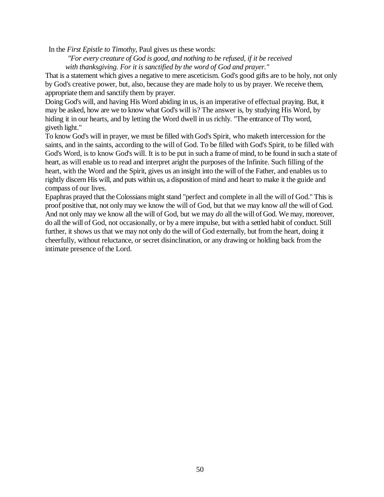In the *First Epistle to Timothy,* Paul gives us these words:

*"For every creature of God is good, and nothing to be refused, if it be received with thanksgiving. For it is sanctified by the word of God and prayer."*

That is a statement which gives a negative to mere asceticism. God's good gifts are to be holy, not only by God's creative power, but, also, because they are made holy to us by prayer. We receive them, appropriate them and sanctify them by prayer.

Doing God's will, and having His Word abiding in us, is an imperative of effectual praying. But, it may be asked, how are we to know what God's will is? The answer is, by studying His Word, by hiding it in our hearts, and by letting the Word dwell in us richly. "The entrance of Thy word, giveth light."

To know God's will in prayer, we must be filled with God's Spirit, who maketh intercession for the saints, and in the saints, according to the will of God. To be filled with God's Spirit, to be filled with God's Word, is to know God's will. It is to be put in such a frame of mind, to be found in such a state of heart, as will enable us to read and interpret aright the purposes of the Infinite. Such filling of the heart, with the Word and the Spirit, gives us an insight into the will of the Father, and enables us to rightly discern His will, and puts within us, a disposition of mind and heart to make it the guide and compass of our lives.

Epaphras prayed that the Colossians might stand "perfect and complete in all the will of God." This is proof positive that, not only may we know the will of God, but that we may know *all* the will of God. And not only may we know all the will of God, but we may *do* all the will of God. We may, moreover, do all the will of God, not occasionally, or by a mere impulse, but with a settled habit of conduct. Still further, it shows us that we may not only do the will of God externally, but from the heart, doing it cheerfully, without reluctance, or secret disinclination, or any drawing or holding back from the intimate presence of the Lord.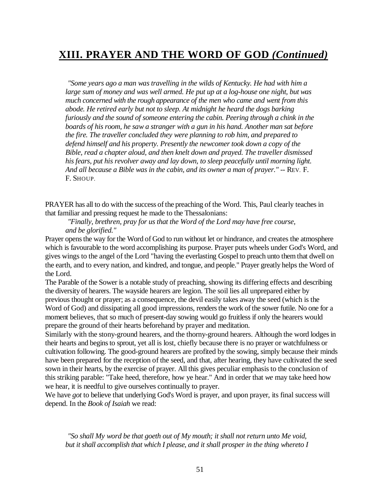# **XIII. PRAYER AND THE WORD OF GOD** *(Continued)*

*"Some years ago a man was travelling in the wilds of Kentucky. He had with him a large sum of money and was well armed. He put up at a log-house one night, but was much concerned with the rough appearance of the men who came and went from this abode. He retired early but not to sleep. At midnight he heard the dogs barking furiously and the sound of someone entering the cabin. Peering through a chink in the boards of his room, he saw a stranger with a gun in his hand. Another man sat before the fire. The traveller concluded they were planning to rob him, and prepared to defend himself and his property. Presently the newcomer took down a copy of the Bible, read a chapter aloud, and then knelt down and prayed. The traveller dismissed his fears, put his revolver away and lay down, to sleep peacefully until morning light. And all because a Bible was in the cabin, and its owner a man of prayer." --* REV. F. F. SHOUP.

PRAYER has all to do with the success of the preaching of the Word. This, Paul clearly teaches in that familiar and pressing request he made to the Thessalonians:

*"Finally, brethren, pray for us that the Word of the Lord may have free course, and be glorified."*

Prayer opens the way for the Word of God to run without let or hindrance, and creates the atmosphere which is favourable to the word accomplishing its purpose. Prayer puts wheels under God's Word, and gives wings to the angel of the Lord "having the everlasting Gospel to preach unto them that dwell on the earth, and to every nation, and kindred, and tongue, and people." Prayer greatly helps the Word of the Lord.

The Parable of the Sower is a notable study of preaching, showing its differing effects and describing the diversity of hearers. The wayside hearers are legion. The soil lies all unprepared either by previous thought or prayer; as a consequence, the devil easily takes away the seed (which is the Word of God) and dissipating all good impressions, renders the work of the sower futile. No one for a moment believes, that so much of present-day sowing would go fruitless if only the hearers would prepare the ground of their hearts beforehand by prayer and meditation.

Similarly with the stony-ground hearers, and the thorny-ground hearers. Although the word lodges in their hearts and begins to sprout, yet all is lost, chiefly because there is no prayer or watchfulness or cultivation following. The good-ground hearers are profited by the sowing, simply because their minds have been prepared for the reception of the seed, and that, after hearing, they have cultivated the seed sown in their hearts, by the exercise of prayer. All this gives peculiar emphasis to the conclusion of this striking parable: "Take heed, therefore, how ye hear." And in order that *we* may take heed how we hear, it is needful to give ourselves continually to prayer.

We have *got* to believe that underlying God's Word is prayer, and upon prayer, its final success will depend. In the *Book of Isaiah* we read:

*"So shall My word be that goeth out of My mouth; it shall not return unto Me void, but it shall accomplish that which I please, and it shall prosper in the thing whereto I*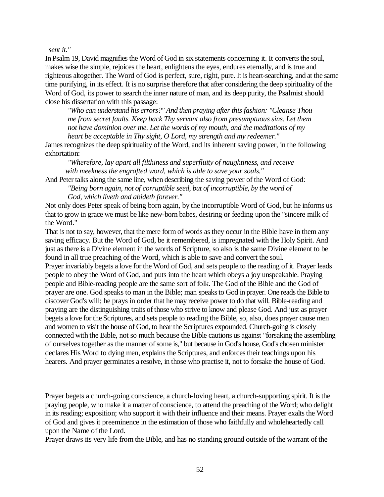*sent it."*

In Psalm 19, David magnifies the Word of God in six statements concerning it. It converts the soul, makes wise the simple, rejoices the heart, enlightens the eyes, endures eternally, and is true and righteous altogether. The Word of God is perfect, sure, right, pure. It is heart-searching, and at the same time purifying, in its effect. It is no surprise therefore that after considering the deep spirituality of the Word of God, its power to search the inner nature of man, and its deep purity, the Psalmist should close his dissertation with this passage:

*"Who can understand his errors?" And then praying after this fashion: "Cleanse Thou me from secret faults. Keep back Thy servant also from presumptuous sins. Let them not have dominion over me. Let the words of my mouth, and the meditations of my heart be acceptable in Thy sight, O Lord, my strength and my redeemer."*

James recognizes the deep spirituality of the Word, and its inherent saving power, in the following exhortation:

*"Wherefore, lay apart all filthiness and superfluity of naughtiness, and receive with meekness the engrafted word, which is able to save your souls."*

And Peter talks along the same line, when describing the saving power of the Word of God: *"Being born again, not of corruptible seed, but of incorruptible, by the word of*

*God, which liveth and abideth forever."*

Not only does Peter speak of being born again, by the incorruptible Word of God, but he informs us that to grow in grace we must be like new-born babes, desiring or feeding upon the "sincere milk of the Word."

That is not to say, however, that the mere form of words as they occur in the Bible have in them any saving efficacy. But the Word of God, be it remembered, is impregnated with the Holy Spirit. And just as there is a Divine element in the words of Scripture, so also is the same Divine element to be found in all true preaching of the Word, which is able to save and convert the soul.

Prayer invariably begets a love for the Word of God, and sets people to the reading of it. Prayer leads people to obey the Word of God, and puts into the heart which obeys a joy unspeakable. Praying people and Bible-reading people are the same sort of folk. The God of the Bible and the God of prayer are one. God speaks to man in the Bible; man speaks to God in prayer. One reads the Bible to discover God's will; he prays in order that he may receive power to do that will. Bible-reading and praying are the distinguishing traits of those who strive to know and please God. And just as prayer begets a love for the Scriptures, and sets people to reading the Bible, so, also, does prayer cause men and women to visit the house of God, to hear the Scriptures expounded. Church-going is closely connected with the Bible, not so much because the Bible cautions us against "forsaking the assembling of ourselves together as the manner of some is," but because in God's house, God's chosen minister declares His Word to dying men, explains the Scriptures, and enforces their teachings upon his hearers. And prayer germinates a resolve, in those who practise it, not to forsake the house of God.

Prayer begets a church-going conscience, a church-loving heart, a church-supporting spirit. It is the praying people, who make it a matter of conscience, to attend the preaching of the Word; who delight in its reading; exposition; who support it with their influence and their means. Prayer exalts the Word of God and gives it preeminence in the estimation of those who faithfully and wholeheartedly call upon the Name of the Lord.

Prayer draws its very life from the Bible, and has no standing ground outside of the warrant of the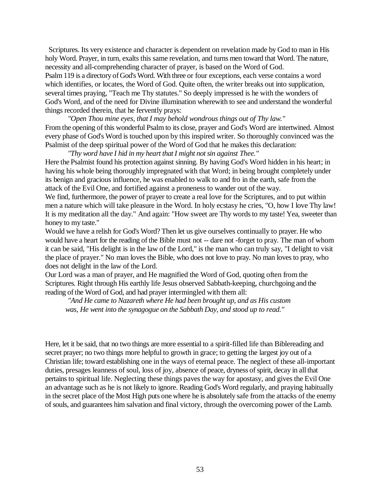Scriptures. Its very existence and character is dependent on revelation made by God to man in His holy Word. Prayer, in turn, exalts this same revelation, and turns men toward that Word. The nature, necessity and all-comprehending character of prayer, is based on the Word of God. Psalm 119 is a directory of God's Word. With three or four exceptions, each verse contains a word

which identifies, or locates, the Word of God. Quite often, the writer breaks out into supplication, several times praying, "Teach me Thy statutes." So deeply impressed is he with the wonders of God's Word, and of the need for Divine illumination wherewith to see and understand the wonderful things recorded therein, that he fervently prays:

*"Open Thou mine eyes, that I may behold wondrous things out of Thy law."* From the opening of this wonderful Psalm to its close, prayer and God's Word are intertwined. Almost every phase of God's Word is touched upon by this inspired writer. So thoroughly convinced was the Psalmist of the deep spiritual power of the Word of God that he makes this declaration:

*"Thy word have I hid in my heart that I might not sin against Thee."*

Here the Psalmist found his protection against sinning. By having God's Word hidden in his heart; in having his whole being thoroughly impregnated with that Word; in being brought completely under its benign and gracious influence, he was enabled to walk to and fro in the earth, safe from the attack of the Evil One, and fortified against a proneness to wander out of the way.

We find, furthermore, the power of prayer to create a real love for the Scriptures, and to put within men a nature which will take pleasure in the Word. In holy ecstasy he cries, "O, how I love Thy law! It is my meditation all the day." And again: "How sweet are Thy words to my taste! Yea, sweeter than honey to my taste."

Would we have a relish for God's Word? Then let us give ourselves continually to prayer. He who would have a heart for the reading of the Bible must not -- dare not -forget to pray. The man of whom it can be said, "His delight is in the law of the Lord," is the man who can truly say, "I delight to visit the place of prayer." No man loves the Bible, who does not love to pray. No man loves to pray, who does not delight in the law of the Lord.

Our Lord was a man of prayer, and He magnified the Word of God, quoting often from the Scriptures. Right through His earthly life Jesus observed Sabbath-keeping, churchgoing and the reading of the Word of God, and had prayer intermingled with them all:

*"And He came to Nazareth where He had been brought up, and as His custom was, He went into the synagogue on the Sabbath Day, and stood up to read."*

Here, let it be said, that no two things are more essential to a spirit-filled life than Biblereading and secret prayer; no two things more helpful to growth in grace; to getting the largest joy out of a Christian life; toward establishing one in the ways of eternal peace. The neglect of these all-important duties, presages leanness of soul, loss of joy, absence of peace, dryness of spirit, decay in all that pertains to spiritual life. Neglecting these things paves the way for apostasy, and gives the Evil One an advantage such as he is not likely to ignore. Reading God's Word regularly, and praying habitually in the secret place of the Most High puts one where he is absolutely safe from the attacks of the enemy of souls, and guarantees him salvation and final victory, through the overcoming power of the Lamb.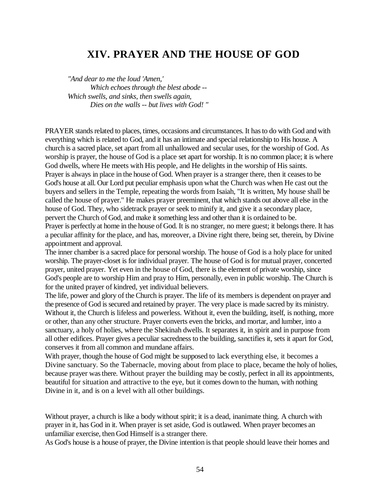### **XIV. PRAYER AND THE HOUSE OF GOD**

*"And dear to me the loud 'Amen,' Which echoes through the blest abode -- Which swells, and sinks, then swells again, Dies on the walls -- but lives with God! "*

PRAYER stands related to places, times, occasions and circumstances. It has to do with God and with everything which is related to God, and it has an intimate and special relationship to His house. A church is a sacred place, set apart from all unhallowed and secular uses, for the worship of God. As worship is prayer, the house of God is a place set apart for worship. It is no common place; it is where God dwells, where He meets with His people, and He delights in the worship of His saints. Prayer is always in place in the house of God. When prayer is a stranger there, then it ceases to be God's house at all. Our Lord put peculiar emphasis upon what the Church was when He cast out the buyers and sellers in the Temple, repeating the words from Isaiah, "It is written, My house shall be called the house of prayer." He makes prayer preeminent, that which stands out above all else in the house of God. They, who sidetrack prayer or seek to minify it, and give it a secondary place, pervert the Church of God, and make it something less and other than it is ordained to be. Prayer is perfectly at home in the house of God. It is no stranger, no mere guest; it belongs there. It has a peculiar affinity for the place, and has, moreover, a Divine right there, being set, therein, by Divine appointment and approval.

The inner chamber is a sacred place for personal worship. The house of God is a holy place for united worship. The prayer-closet is for individual prayer. The house of God is for mutual prayer, concerted prayer, united prayer. Yet even in the house of God, there is the element of private worship, since God's people are to worship Him and pray to Him, personally, even in public worship. The Church is for the united prayer of kindred, yet individual believers.

The life, power and glory of the Church is prayer. The life of its members is dependent on prayer and the presence of God is secured and retained by prayer. The very place is made sacred by its ministry. Without it, the Church is lifeless and powerless. Without it, even the building, itself, is nothing, more or other, than any other structure. Prayer converts even the bricks, and mortar, and lumber, into a sanctuary, a holy of holies, where the Shekinah dwells. It separates it, in spirit and in purpose from all other edifices. Prayer gives a peculiar sacredness to the building, sanctifies it, sets it apart for God, conserves it from all common and mundane affairs.

With prayer, though the house of God might be supposed to lack everything else, it becomes a Divine sanctuary. So the Tabernacle, moving about from place to place, became the holy of holies, because prayer was there. Without prayer the building may be costly, perfect in all its appointments, beautiful for situation and attractive to the eye, but it comes down to the human, with nothing Divine in it, and is on a level with all other buildings.

Without prayer, a church is like a body without spirit; it is a dead, inanimate thing. A church with prayer in it, has God in it. When prayer is set aside, God is outlawed. When prayer becomes an unfamiliar exercise, then God Himself is a stranger there.

As God's house is a house of prayer, the Divine intention is that people should leave their homes and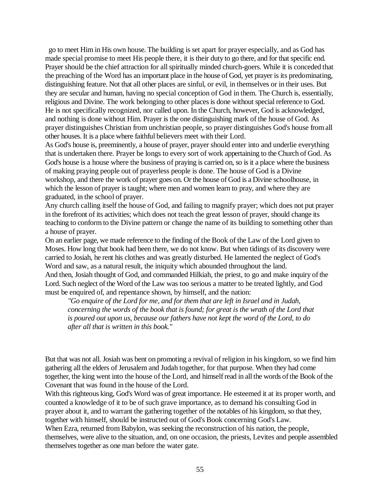go to meet Him in His own house. The building is set apart for prayer especially, and as God has made special promise to meet His people there, it is their duty to go there, and for that specific end. Prayer should be the chief attraction for all spiritually minded church-goers. While it is conceded that the preaching of the Word has an important place in the house of God, yet prayer is its predominating, distinguishing feature. Not that all other places are sinful, or evil, in themselves or in their uses. But they are secular and human, having no special conception of God in them. The Church is, essentially, religious and Divine. The work belonging to other places is done without special reference to God. He is not specifically recognized, nor called upon. In the Church, however, God is acknowledged, and nothing is done without Him. Prayer is the one distinguishing mark of the house of God. As prayer distinguishes Christian from unchristian people, so prayer distinguishes God's house from all other houses. It is a place where faithful believers meet with their Lord.

As God's house is, preeminently, a house of prayer, prayer should enter into and underlie everything that is undertaken there. Prayer be longs to every sort of work appertaining to the Church of God. As God's house is a house where the business of praying is carried on, so is it a place where the business of making praying people out of prayerless people is done. The house of God is a Divine workshop, and there the work of prayer goes on. Or the house of God is a Divine schoolhouse, in which the lesson of prayer is taught; where men and women learn to pray, and where they are graduated, in the school of prayer.

Any church calling itself the house of God, and failing to magnify prayer; which does not put prayer in the forefront of its activities; which does not teach the great lesson of prayer, should change its teaching to conform to the Divine pattern or change the name of its building to something other than a house of prayer.

On an earlier page, we made reference to the finding of the Book of the Law of the Lord given to Moses. How long that book had been there, we do not know. But when tidings of its discovery were carried to Josiah, he rent his clothes and was greatly disturbed. He lamented the neglect of God's Word and saw, as a natural result, the iniquity which abounded throughout the land. And then, Josiah thought of God, and commanded Hilkiah, the priest, to go and make inquiry of the Lord. Such neglect of the Word of the Law was too serious a matter to be treated lightly, and God must be enquired of, and repentance shown, by himself, and the nation:

*"Go enquire of the Lord for me, and for them that are left in Israel and in Judah, concerning the words of the book that is found; for great is the wrath of the Lord that is poured out upon us, because our fathers have not kept the word of the Lord, to do after all that is written in this book."*

But that was not all. Josiah was bent on promoting a revival of religion in his kingdom, so we find him gathering all the elders of Jerusalem and Judah together, for that purpose. When they had come together, the king went into the house of the Lord, and himself read in all the words of the Book of the Covenant that was found in the house of the Lord.

With this righteous king, God's Word was of great importance. He esteemed it at its proper worth, and counted a knowledge of it to be of such grave importance, as to demand his consulting God in prayer about it, and to warrant the gathering together of the notables of his kingdom, so that they, together with himself, should be instructed out of God's Book concerning God's Law.

When Ezra, returned from Babylon, was seeking the reconstruction of his nation, the people, themselves, were alive to the situation, and, on one occasion, the priests, Levites and people assembled themselves together as one man before the water gate.